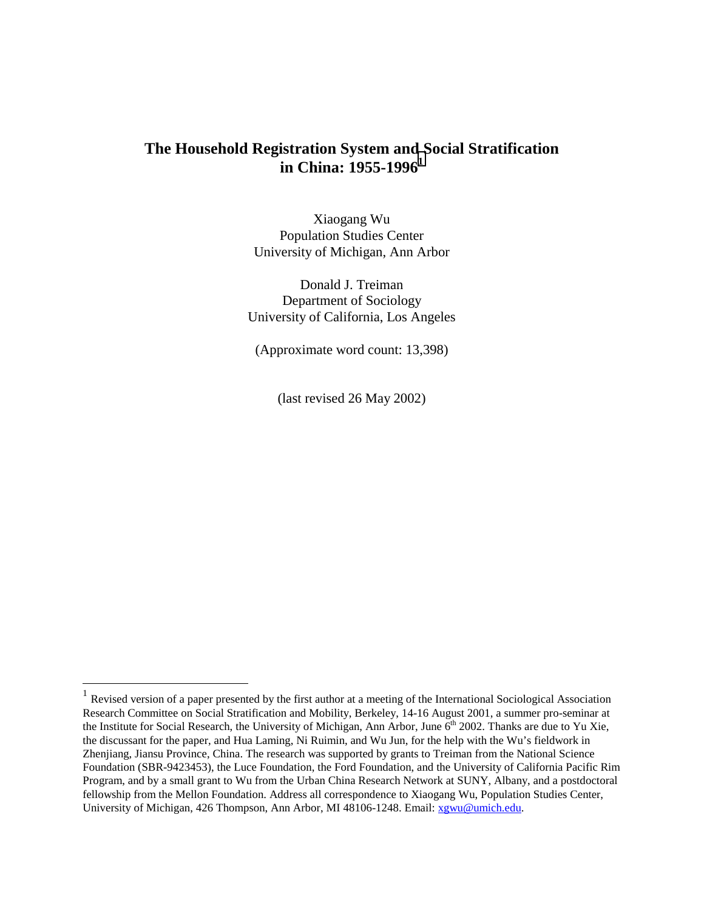# **The Household Registration System and Social Stratification in China: 1955-1996<sup>1</sup>**

Xiaogang Wu Population Studies Center University of Michigan, Ann Arbor

Donald J. Treiman Department of Sociology University of California, Los Angeles

(Approximate word count: 13,398)

(last revised 26 May 2002)

 $<sup>1</sup>$  Revised version of a paper presented by the first author at a meeting of the International Sociological Association</sup> Research Committee on Social Stratification and Mobility, Berkeley, 14-16 August 2001, a summer pro-seminar at the Institute for Social Research, the University of Michigan, Ann Arbor, June  $6<sup>th</sup>$  2002. Thanks are due to Yu Xie, the discussant for the paper, and Hua Laming, Ni Ruimin, and Wu Jun, for the help with the Wu's fieldwork in Zhenjiang, Jiansu Province, China. The research was supported by grants to Treiman from the National Science Foundation (SBR-9423453), the Luce Foundation, the Ford Foundation, and the University of California Pacific Rim Program, and by a small grant to Wu from the Urban China Research Network at SUNY, Albany, and a postdoctoral fellowship from the Mellon Foundation. Address all correspondence to Xiaogang Wu, Population Studies Center, University of Michigan, 426 Thompson, Ann Arbor, MI 48106-1248. Email: xgwu@umich.edu.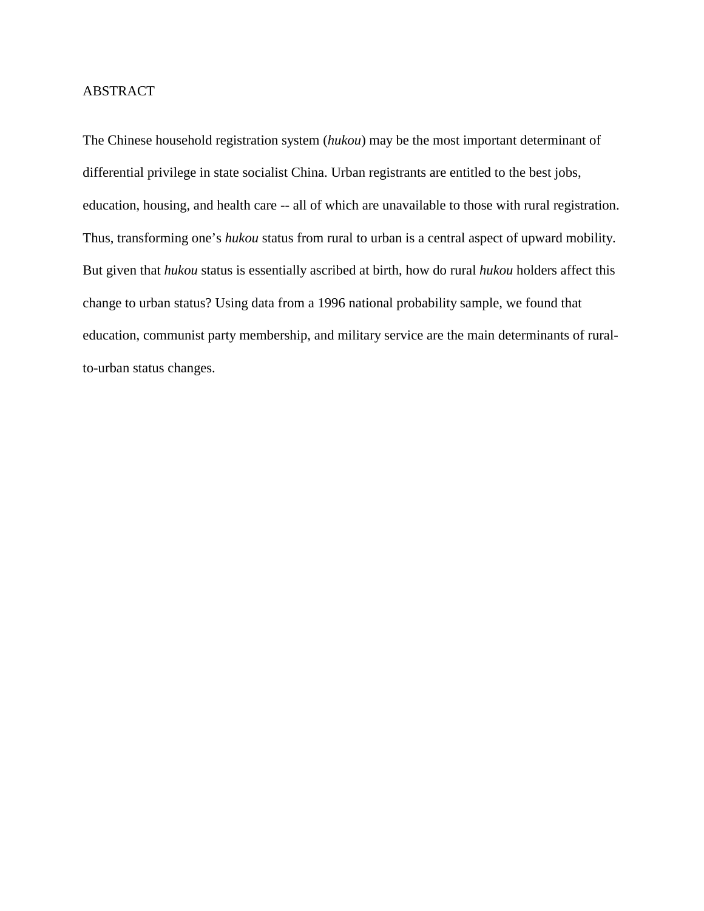# ABSTRACT

The Chinese household registration system (*hukou*) may be the most important determinant of differential privilege in state socialist China. Urban registrants are entitled to the best jobs, education, housing, and health care -- all of which are unavailable to those with rural registration. Thus, transforming one's *hukou* status from rural to urban is a central aspect of upward mobility. But given that *hukou* status is essentially ascribed at birth, how do rural *hukou* holders affect this change to urban status? Using data from a 1996 national probability sample, we found that education, communist party membership, and military service are the main determinants of ruralto-urban status changes.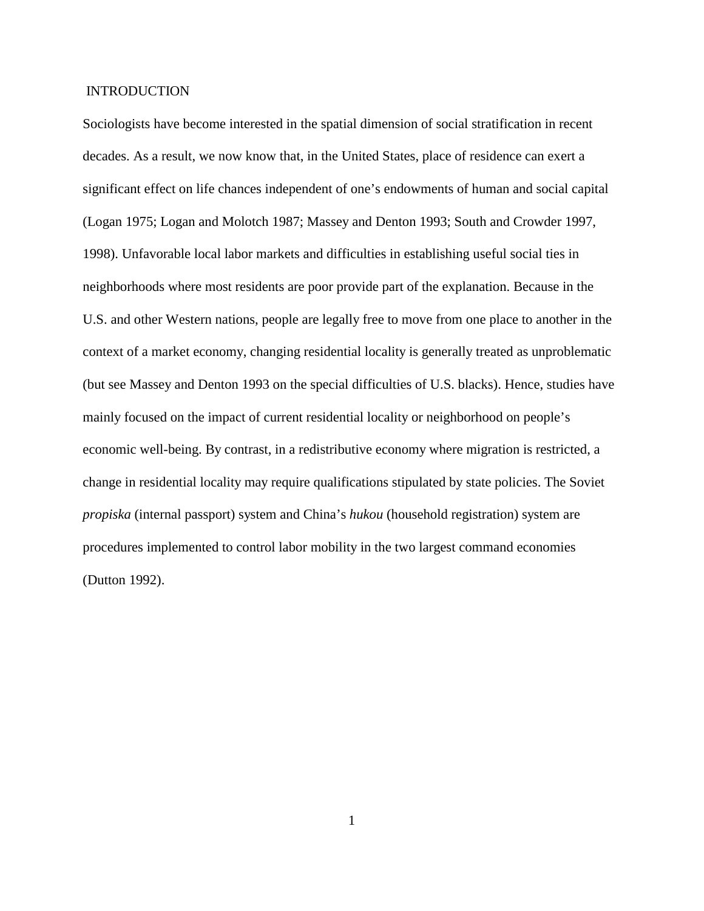#### INTRODUCTION

Sociologists have become interested in the spatial dimension of social stratification in recent decades. As a result, we now know that, in the United States, place of residence can exert a significant effect on life chances independent of one's endowments of human and social capital (Logan 1975; Logan and Molotch 1987; Massey and Denton 1993; South and Crowder 1997, 1998). Unfavorable local labor markets and difficulties in establishing useful social ties in neighborhoods where most residents are poor provide part of the explanation. Because in the U.S. and other Western nations, people are legally free to move from one place to another in the context of a market economy, changing residential locality is generally treated as unproblematic (but see Massey and Denton 1993 on the special difficulties of U.S. blacks). Hence, studies have mainly focused on the impact of current residential locality or neighborhood on people's economic well-being. By contrast, in a redistributive economy where migration is restricted, a change in residential locality may require qualifications stipulated by state policies. The Soviet *propiska* (internal passport) system and China's *hukou* (household registration) system are procedures implemented to control labor mobility in the two largest command economies (Dutton 1992).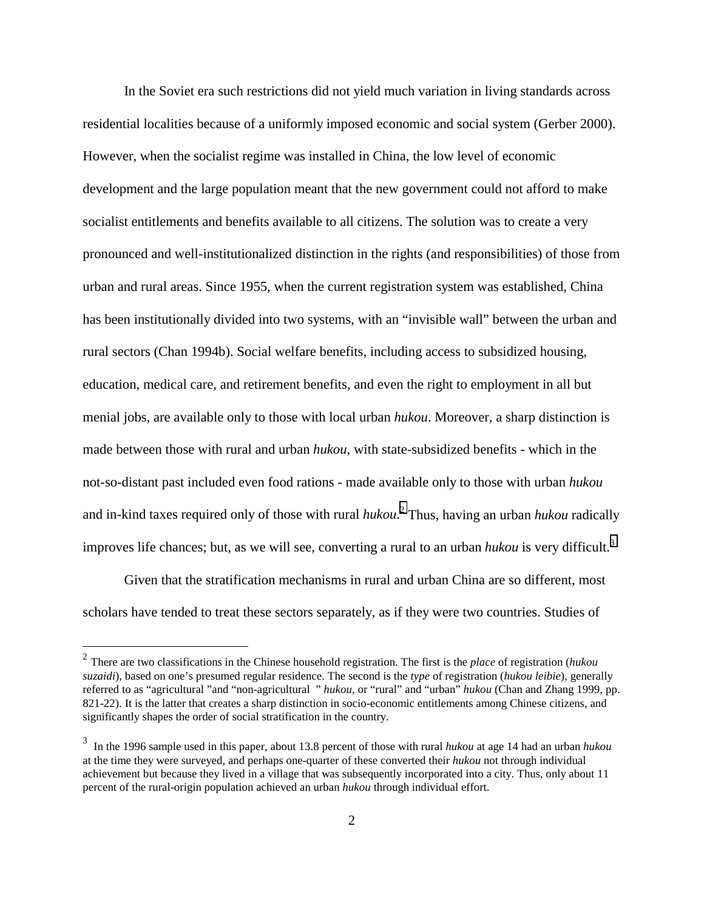In the Soviet era such restrictions did not yield much variation in living standards across residential localities because of a uniformly imposed economic and social system (Gerber 2000). However, when the socialist regime was installed in China, the low level of economic development and the large population meant that the new government could not afford to make socialist entitlements and benefits available to all citizens. The solution was to create a very pronounced and well-institutionalized distinction in the rights (and responsibilities) of those from urban and rural areas. Since 1955, when the current registration system was established, China has been institutionally divided into two systems, with an "invisible wall" between the urban and rural sectors (Chan 1994b). Social welfare benefits, including access to subsidized housing, education, medical care, and retirement benefits, and even the right to employment in all but menial jobs, are available only to those with local urban *hukou*. Moreover, a sharp distinction is made between those with rural and urban *hukou*, with state-subsidized benefits - which in the not-so-distant past included even food rations - made available only to those with urban *hukou* and in-kind taxes required only of those with rural *hukou*. 2 Thus, having an urban *hukou* radically improves life chances; but, as we will see, converting a rural to an urban *hukou* is very difficult.<sup>3</sup>

Given that the stratification mechanisms in rural and urban China are so different, most scholars have tended to treat these sectors separately, as if they were two countries. Studies of

<sup>2</sup> There are two classifications in the Chinese household registration. The first is the *place* of registration (*hukou suzaidi*), based on one's presumed regular residence. The second is the *type* of registration (*hukou leibie*), generally referred to as "agricultural "and "non-agricultural " *hukou*, or "rural" and "urban" *hukou* (Chan and Zhang 1999, pp. 821-22). It is the latter that creates a sharp distinction in socio-economic entitlements among Chinese citizens, and significantly shapes the order of social stratification in the country.

<sup>3</sup> In the 1996 sample used in this paper, about 13.8 percent of those with rural *hukou* at age 14 had an urban *hukou* at the time they were surveyed, and perhaps one-quarter of these converted their *hukou* not through individual achievement but because they lived in a village that was subsequently incorporated into a city. Thus, only about 11 percent of the rural-origin population achieved an urban *hukou* through individual effort.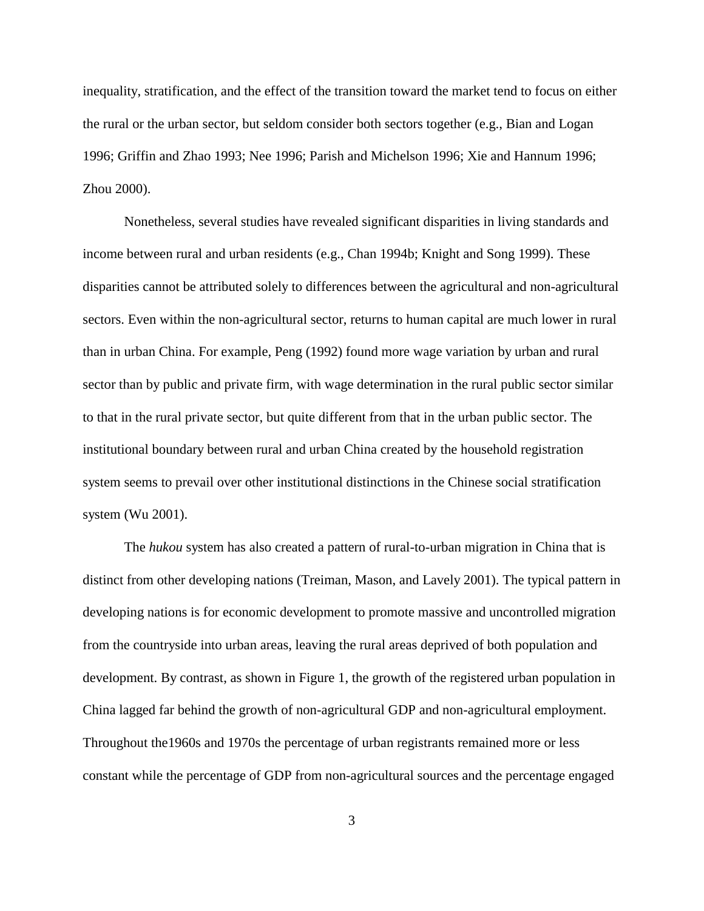inequality, stratification, and the effect of the transition toward the market tend to focus on either the rural or the urban sector, but seldom consider both sectors together (e.g., Bian and Logan 1996; Griffin and Zhao 1993; Nee 1996; Parish and Michelson 1996; Xie and Hannum 1996; Zhou 2000).

Nonetheless, several studies have revealed significant disparities in living standards and income between rural and urban residents (e.g., Chan 1994b; Knight and Song 1999). These disparities cannot be attributed solely to differences between the agricultural and non-agricultural sectors. Even within the non-agricultural sector, returns to human capital are much lower in rural than in urban China. For example, Peng (1992) found more wage variation by urban and rural sector than by public and private firm, with wage determination in the rural public sector similar to that in the rural private sector, but quite different from that in the urban public sector. The institutional boundary between rural and urban China created by the household registration system seems to prevail over other institutional distinctions in the Chinese social stratification system (Wu 2001).

The *hukou* system has also created a pattern of rural-to-urban migration in China that is distinct from other developing nations (Treiman, Mason, and Lavely 2001). The typical pattern in developing nations is for economic development to promote massive and uncontrolled migration from the countryside into urban areas, leaving the rural areas deprived of both population and development. By contrast, as shown in Figure 1, the growth of the registered urban population in China lagged far behind the growth of non-agricultural GDP and non-agricultural employment. Throughout the1960s and 1970s the percentage of urban registrants remained more or less constant while the percentage of GDP from non-agricultural sources and the percentage engaged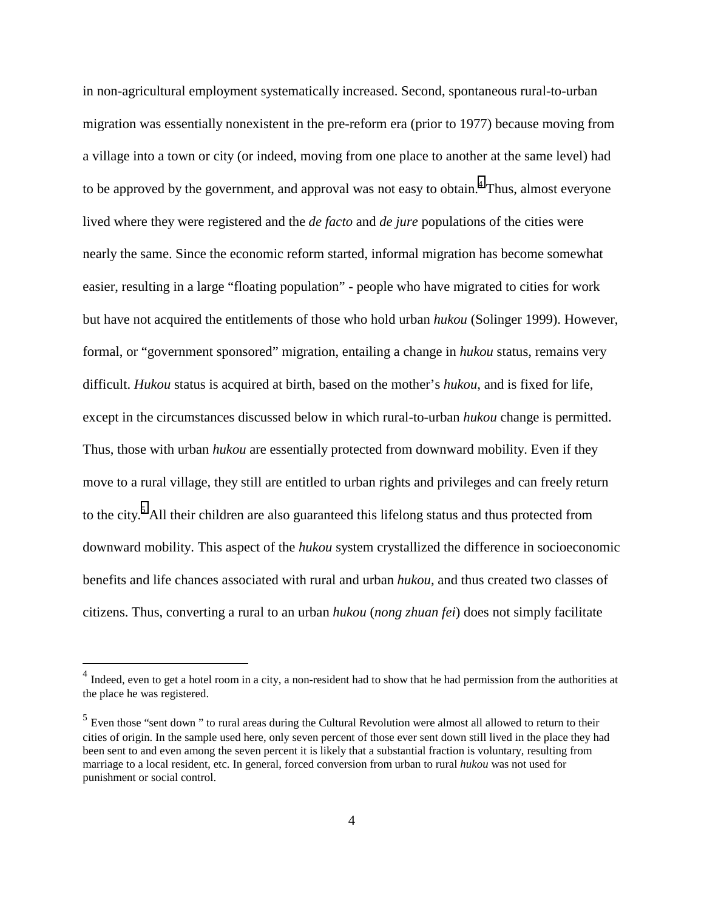in non-agricultural employment systematically increased. Second, spontaneous rural-to-urban migration was essentially nonexistent in the pre-reform era (prior to 1977) because moving from a village into a town or city (or indeed, moving from one place to another at the same level) had to be approved by the government, and approval was not easy to obtain.<sup>4</sup> Thus, almost everyone lived where they were registered and the *de facto* and *de jure* populations of the cities were nearly the same. Since the economic reform started, informal migration has become somewhat easier, resulting in a large "floating population" - people who have migrated to cities for work but have not acquired the entitlements of those who hold urban *hukou* (Solinger 1999). However, formal, or "government sponsored" migration, entailing a change in *hukou* status, remains very difficult. *Hukou* status is acquired at birth, based on the mother's *hukou*, and is fixed for life, except in the circumstances discussed below in which rural-to-urban *hukou* change is permitted. Thus, those with urban *hukou* are essentially protected from downward mobility. Even if they move to a rural village, they still are entitled to urban rights and privileges and can freely return to the city.<sup>5</sup> All their children are also guaranteed this lifelong status and thus protected from downward mobility. This aspect of the *hukou* system crystallized the difference in socioeconomic benefits and life chances associated with rural and urban *hukou*, and thus created two classes of citizens. Thus, converting a rural to an urban *hukou* (*nong zhuan fei*) does not simply facilitate

 $<sup>4</sup>$  Indeed, even to get a hotel room in a city, a non-resident had to show that he had permission from the authorities at</sup> the place he was registered.

 $<sup>5</sup>$  Even those "sent down" to rural areas during the Cultural Revolution were almost all allowed to return to their</sup> cities of origin. In the sample used here, only seven percent of those ever sent down still lived in the place they had been sent to and even among the seven percent it is likely that a substantial fraction is voluntary, resulting from marriage to a local resident, etc. In general, forced conversion from urban to rural *hukou* was not used for punishment or social control.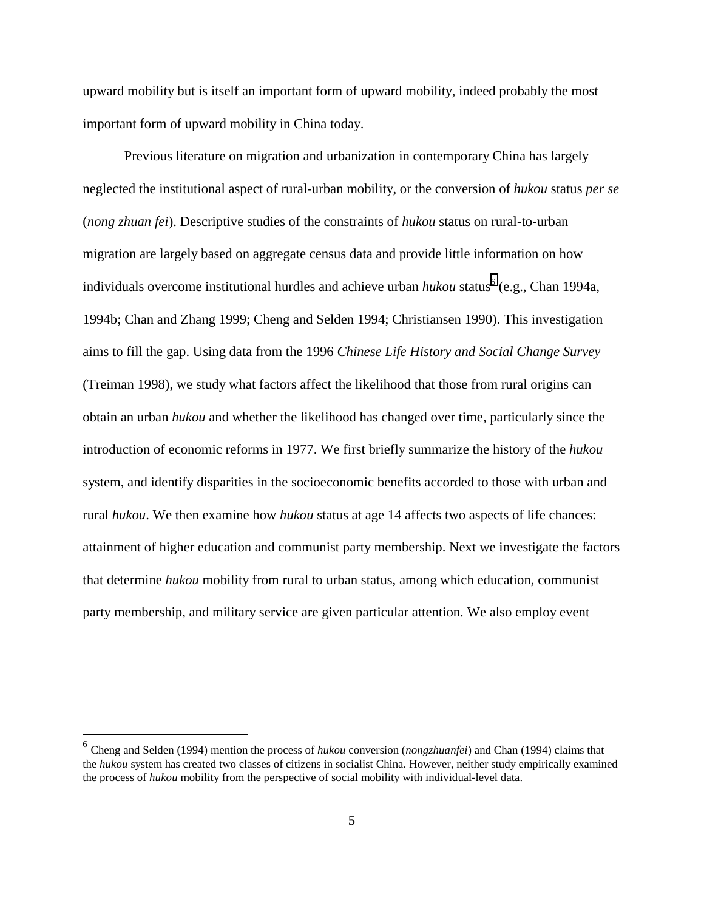upward mobility but is itself an important form of upward mobility, indeed probably the most important form of upward mobility in China today.

Previous literature on migration and urbanization in contemporary China has largely neglected the institutional aspect of rural-urban mobility, or the conversion of *hukou* status *per se* (*nong zhuan fei*). Descriptive studies of the constraints of *hukou* status on rural-to-urban migration are largely based on aggregate census data and provide little information on how individuals overcome institutional hurdles and achieve urban *hukou* status<sup>6</sup> (e.g., Chan 1994a, 1994b; Chan and Zhang 1999; Cheng and Selden 1994; Christiansen 1990). This investigation aims to fill the gap. Using data from the 1996 *Chinese Life History and Social Change Survey* (Treiman 1998), we study what factors affect the likelihood that those from rural origins can obtain an urban *hukou* and whether the likelihood has changed over time, particularly since the introduction of economic reforms in 1977. We first briefly summarize the history of the *hukou* system, and identify disparities in the socioeconomic benefits accorded to those with urban and rural *hukou*. We then examine how *hukou* status at age 14 affects two aspects of life chances: attainment of higher education and communist party membership. Next we investigate the factors that determine *hukou* mobility from rural to urban status, among which education, communist party membership, and military service are given particular attention. We also employ event

<sup>6</sup> Cheng and Selden (1994) mention the process of *hukou* conversion (*nongzhuanfei*) and Chan (1994) claims that the *hukou* system has created two classes of citizens in socialist China. However, neither study empirically examined the process of *hukou* mobility from the perspective of social mobility with individual-level data.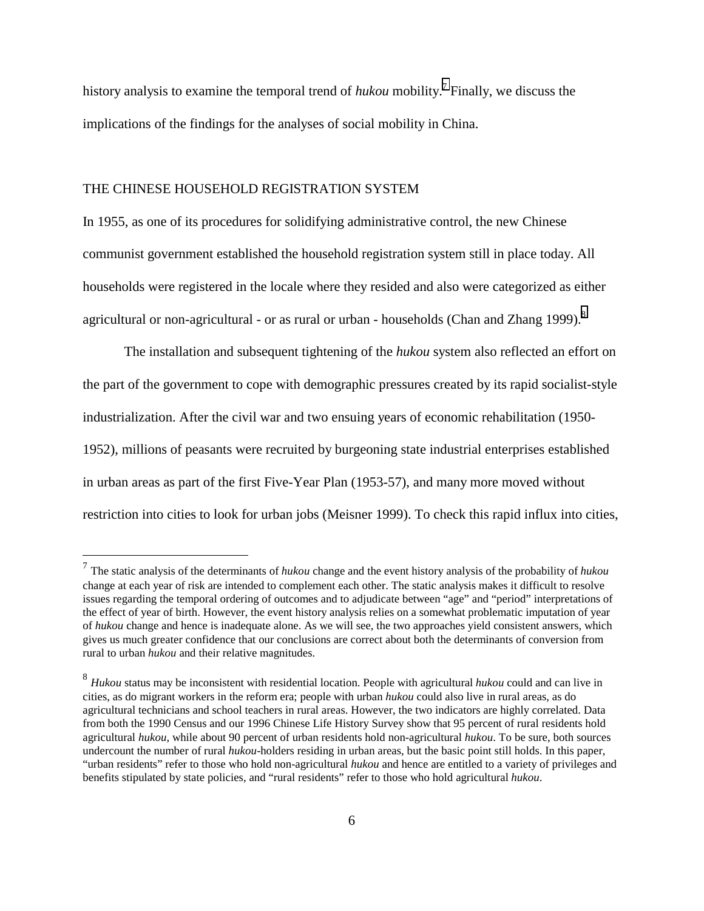history analysis to examine the temporal trend of *hukou* mobility.7 Finally, we discuss the implications of the findings for the analyses of social mobility in China.

#### THE CHINESE HOUSEHOLD REGISTRATION SYSTEM

 $\overline{a}$ 

In 1955, as one of its procedures for solidifying administrative control, the new Chinese communist government established the household registration system still in place today. All households were registered in the locale where they resided and also were categorized as either agricultural or non-agricultural - or as rural or urban - households (Chan and Zhang 1999).<sup>8</sup>

The installation and subsequent tightening of the *hukou* system also reflected an effort on the part of the government to cope with demographic pressures created by its rapid socialist-style industrialization. After the civil war and two ensuing years of economic rehabilitation (1950- 1952), millions of peasants were recruited by burgeoning state industrial enterprises established in urban areas as part of the first Five-Year Plan (1953-57), and many more moved without restriction into cities to look for urban jobs (Meisner 1999). To check this rapid influx into cities,

<sup>7</sup> The static analysis of the determinants of *hukou* change and the event history analysis of the probability of *hukou* change at each year of risk are intended to complement each other. The static analysis makes it difficult to resolve issues regarding the temporal ordering of outcomes and to adjudicate between "age" and "period" interpretations of the effect of year of birth. However, the event history analysis relies on a somewhat problematic imputation of year of *hukou* change and hence is inadequate alone. As we will see, the two approaches yield consistent answers, which gives us much greater confidence that our conclusions are correct about both the determinants of conversion from rural to urban *hukou* and their relative magnitudes.

<sup>8</sup> *Hukou* status may be inconsistent with residential location. People with agricultural *hukou* could and can live in cities, as do migrant workers in the reform era; people with urban *hukou* could also live in rural areas, as do agricultural technicians and school teachers in rural areas. However, the two indicators are highly correlated. Data from both the 1990 Census and our 1996 Chinese Life History Survey show that 95 percent of rural residents hold agricultural *hukou*, while about 90 percent of urban residents hold non-agricultural *hukou*. To be sure, both sources undercount the number of rural *hukou*-holders residing in urban areas, but the basic point still holds. In this paper, "urban residents" refer to those who hold non-agricultural *hukou* and hence are entitled to a variety of privileges and benefits stipulated by state policies, and "rural residents" refer to those who hold agricultural *hukou*.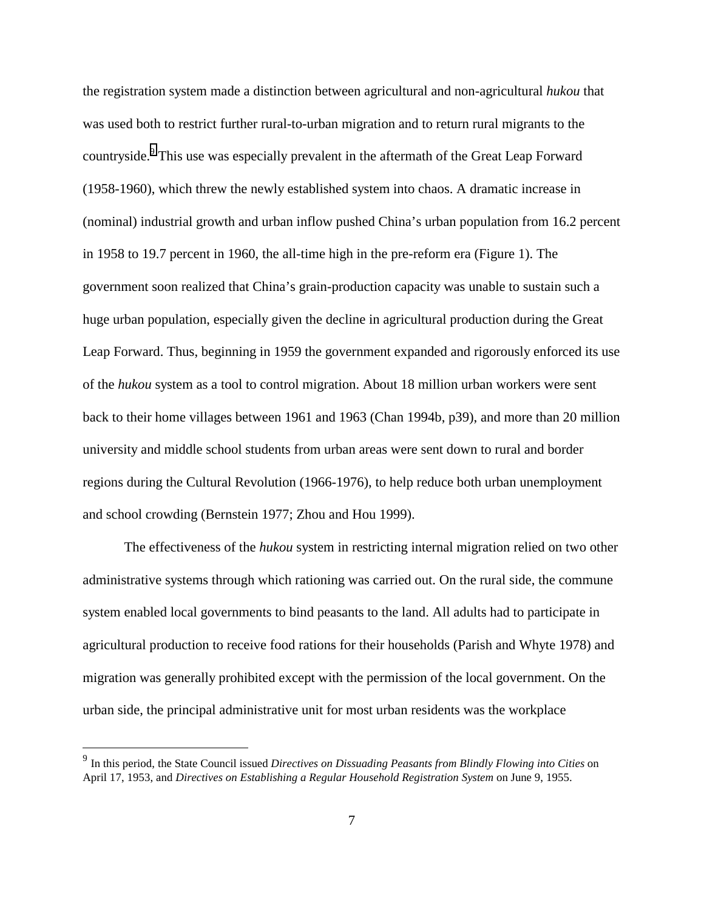the registration system made a distinction between agricultural and non-agricultural *hukou* that was used both to restrict further rural-to-urban migration and to return rural migrants to the countryside.<sup>9</sup> This use was especially prevalent in the aftermath of the Great Leap Forward (1958-1960), which threw the newly established system into chaos. A dramatic increase in (nominal) industrial growth and urban inflow pushed China's urban population from 16.2 percent in 1958 to 19.7 percent in 1960, the all-time high in the pre-reform era (Figure 1). The government soon realized that China's grain-production capacity was unable to sustain such a huge urban population, especially given the decline in agricultural production during the Great Leap Forward. Thus, beginning in 1959 the government expanded and rigorously enforced its use of the *hukou* system as a tool to control migration. About 18 million urban workers were sent back to their home villages between 1961 and 1963 (Chan 1994b, p39), and more than 20 million university and middle school students from urban areas were sent down to rural and border regions during the Cultural Revolution (1966-1976), to help reduce both urban unemployment and school crowding (Bernstein 1977; Zhou and Hou 1999).

The effectiveness of the *hukou* system in restricting internal migration relied on two other administrative systems through which rationing was carried out. On the rural side, the commune system enabled local governments to bind peasants to the land. All adults had to participate in agricultural production to receive food rations for their households (Parish and Whyte 1978) and migration was generally prohibited except with the permission of the local government. On the urban side, the principal administrative unit for most urban residents was the workplace

<sup>9</sup> In this period, the State Council issued *Directives on Dissuading Peasants from Blindly Flowing into Cities* on April 17, 1953, and *Directives on Establishing a Regular Household Registration System* on June 9, 1955.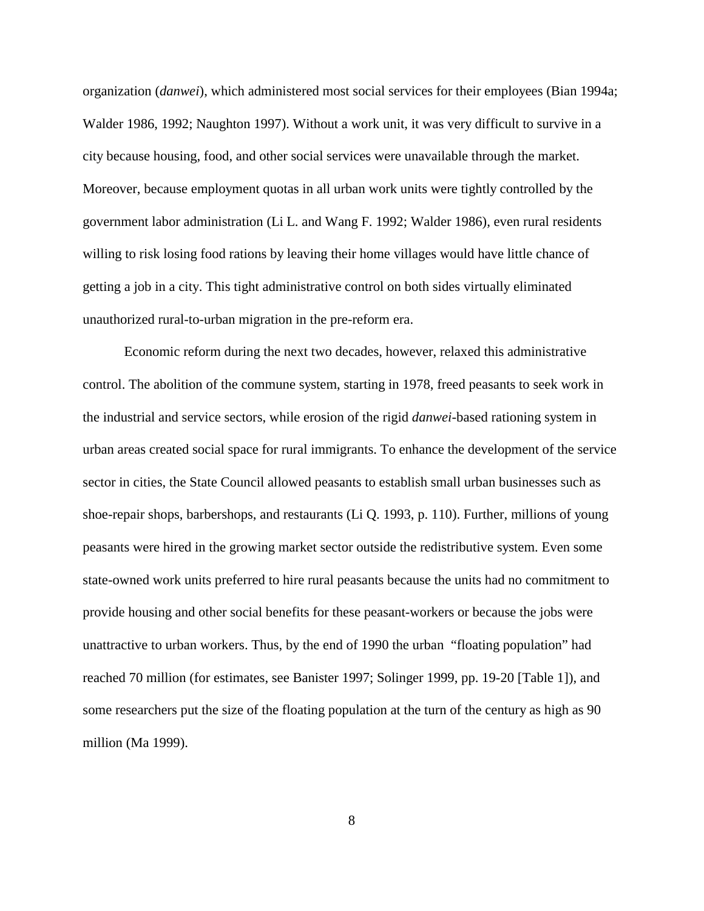organization (*danwei*), which administered most social services for their employees (Bian 1994a; Walder 1986, 1992; Naughton 1997). Without a work unit, it was very difficult to survive in a city because housing, food, and other social services were unavailable through the market. Moreover, because employment quotas in all urban work units were tightly controlled by the government labor administration (Li L. and Wang F. 1992; Walder 1986), even rural residents willing to risk losing food rations by leaving their home villages would have little chance of getting a job in a city. This tight administrative control on both sides virtually eliminated unauthorized rural-to-urban migration in the pre-reform era.

Economic reform during the next two decades, however, relaxed this administrative control. The abolition of the commune system, starting in 1978, freed peasants to seek work in the industrial and service sectors, while erosion of the rigid *danwei*-based rationing system in urban areas created social space for rural immigrants. To enhance the development of the service sector in cities, the State Council allowed peasants to establish small urban businesses such as shoe-repair shops, barbershops, and restaurants (Li Q. 1993, p. 110). Further, millions of young peasants were hired in the growing market sector outside the redistributive system. Even some state-owned work units preferred to hire rural peasants because the units had no commitment to provide housing and other social benefits for these peasant-workers or because the jobs were unattractive to urban workers. Thus, by the end of 1990 the urban "floating population" had reached 70 million (for estimates, see Banister 1997; Solinger 1999, pp. 19-20 [Table 1]), and some researchers put the size of the floating population at the turn of the century as high as 90 million (Ma 1999).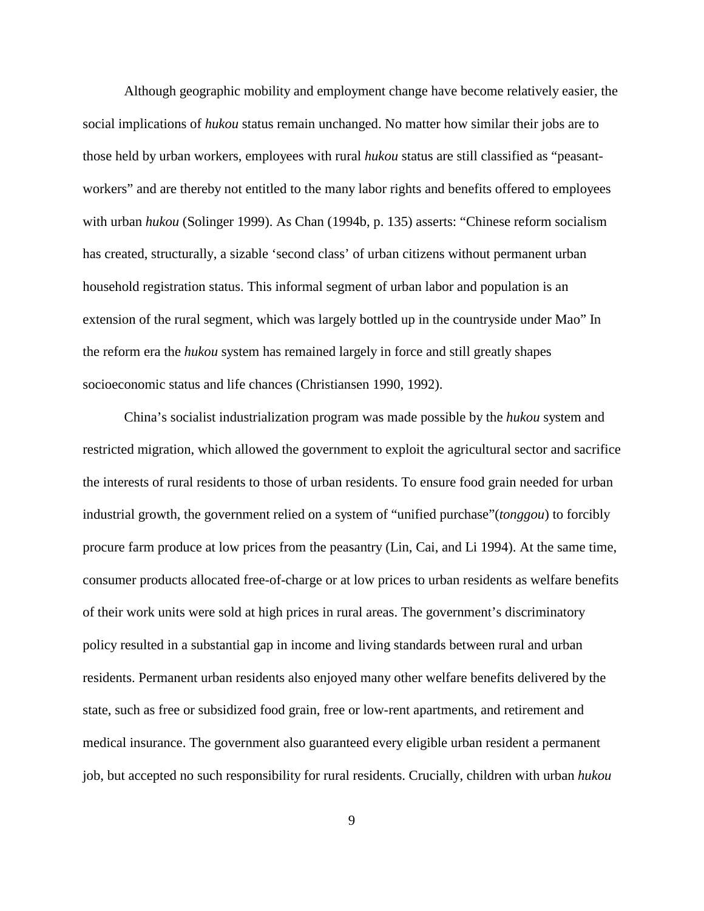Although geographic mobility and employment change have become relatively easier, the social implications of *hukou* status remain unchanged. No matter how similar their jobs are to those held by urban workers, employees with rural *hukou* status are still classified as "peasantworkers" and are thereby not entitled to the many labor rights and benefits offered to employees with urban *hukou* (Solinger 1999). As Chan (1994b, p. 135) asserts: "Chinese reform socialism has created, structurally, a sizable 'second class' of urban citizens without permanent urban household registration status. This informal segment of urban labor and population is an extension of the rural segment, which was largely bottled up in the countryside under Mao" In the reform era the *hukou* system has remained largely in force and still greatly shapes socioeconomic status and life chances (Christiansen 1990, 1992).

China's socialist industrialization program was made possible by the *hukou* system and restricted migration, which allowed the government to exploit the agricultural sector and sacrifice the interests of rural residents to those of urban residents. To ensure food grain needed for urban industrial growth, the government relied on a system of "unified purchase"(*tonggou*) to forcibly procure farm produce at low prices from the peasantry (Lin, Cai, and Li 1994). At the same time, consumer products allocated free-of-charge or at low prices to urban residents as welfare benefits of their work units were sold at high prices in rural areas. The government's discriminatory policy resulted in a substantial gap in income and living standards between rural and urban residents. Permanent urban residents also enjoyed many other welfare benefits delivered by the state, such as free or subsidized food grain, free or low-rent apartments, and retirement and medical insurance. The government also guaranteed every eligible urban resident a permanent job, but accepted no such responsibility for rural residents. Crucially, children with urban *hukou*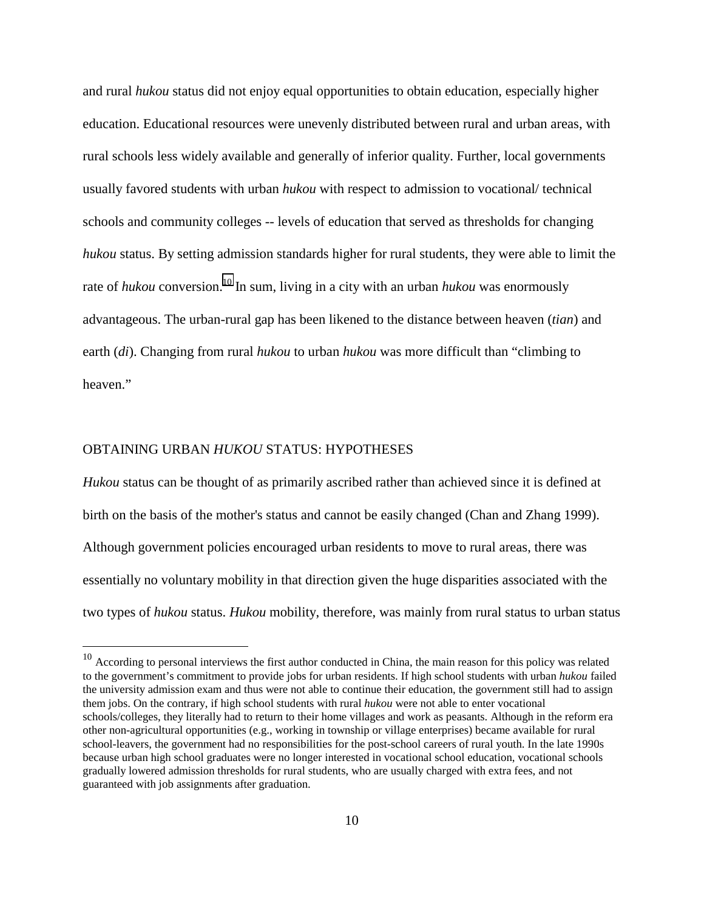and rural *hukou* status did not enjoy equal opportunities to obtain education, especially higher education. Educational resources were unevenly distributed between rural and urban areas, with rural schools less widely available and generally of inferior quality. Further, local governments usually favored students with urban *hukou* with respect to admission to vocational/ technical schools and community colleges -- levels of education that served as thresholds for changing *hukou* status. By setting admission standards higher for rural students, they were able to limit the rate of *hukou* conversion.<sup>10</sup> In sum, living in a city with an urban *hukou* was enormously advantageous. The urban-rural gap has been likened to the distance between heaven (*tian*) and earth (*di*). Changing from rural *hukou* to urban *hukou* was more difficult than "climbing to heaven."

# OBTAINING URBAN *HUKOU* STATUS: HYPOTHESES

 $\overline{a}$ 

*Hukou* status can be thought of as primarily ascribed rather than achieved since it is defined at birth on the basis of the mother's status and cannot be easily changed (Chan and Zhang 1999). Although government policies encouraged urban residents to move to rural areas, there was essentially no voluntary mobility in that direction given the huge disparities associated with the two types of *hukou* status. *Hukou* mobility, therefore, was mainly from rural status to urban status

 $10$  According to personal interviews the first author conducted in China, the main reason for this policy was related to the government's commitment to provide jobs for urban residents. If high school students with urban *hukou* failed the university admission exam and thus were not able to continue their education, the government still had to assign them jobs. On the contrary, if high school students with rural *hukou* were not able to enter vocational schools/colleges, they literally had to return to their home villages and work as peasants. Although in the reform era other non-agricultural opportunities (e.g., working in township or village enterprises) became available for rural school-leavers, the government had no responsibilities for the post-school careers of rural youth. In the late 1990s because urban high school graduates were no longer interested in vocational school education, vocational schools gradually lowered admission thresholds for rural students, who are usually charged with extra fees, and not guaranteed with job assignments after graduation.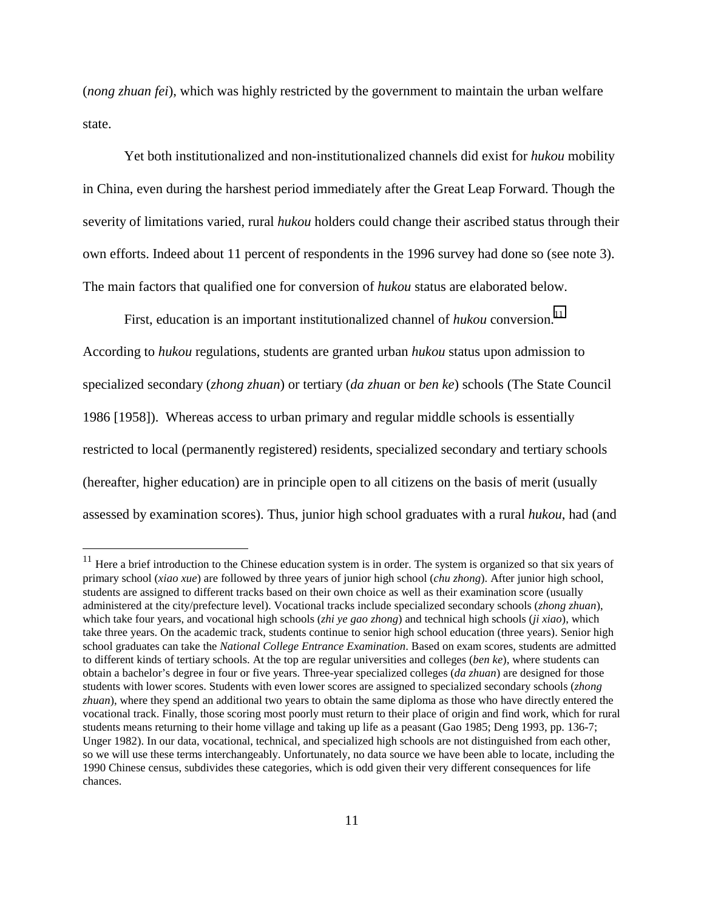(*nong zhuan fei*), which was highly restricted by the government to maintain the urban welfare state.

Yet both institutionalized and non-institutionalized channels did exist for *hukou* mobility in China, even during the harshest period immediately after the Great Leap Forward. Though the severity of limitations varied, rural *hukou* holders could change their ascribed status through their own efforts. Indeed about 11 percent of respondents in the 1996 survey had done so (see note 3). The main factors that qualified one for conversion of *hukou* status are elaborated below.

First, education is an important institutionalized channel of *hukou* conversion.<sup>11</sup>

According to *hukou* regulations, students are granted urban *hukou* status upon admission to specialized secondary (*zhong zhuan*) or tertiary (*da zhuan* or *ben ke*) schools (The State Council 1986 [1958]). Whereas access to urban primary and regular middle schools is essentially restricted to local (permanently registered) residents, specialized secondary and tertiary schools (hereafter, higher education) are in principle open to all citizens on the basis of merit (usually assessed by examination scores). Thus, junior high school graduates with a rural *hukou*, had (and

 $11$  Here a brief introduction to the Chinese education system is in order. The system is organized so that six years of primary school (*xiao xue*) are followed by three years of junior high school (*chu zhong*). After junior high school, students are assigned to different tracks based on their own choice as well as their examination score (usually administered at the city/prefecture level). Vocational tracks include specialized secondary schools (*zhong zhuan*), which take four years, and vocational high schools (*zhi ye gao zhong*) and technical high schools (*ji xiao*), which take three years. On the academic track, students continue to senior high school education (three years). Senior high school graduates can take the *National College Entrance Examination*. Based on exam scores, students are admitted to different kinds of tertiary schools. At the top are regular universities and colleges (*ben ke*), where students can obtain a bachelor's degree in four or five years. Three-year specialized colleges (*da zhuan*) are designed for those students with lower scores. Students with even lower scores are assigned to specialized secondary schools (*zhong zhuan*), where they spend an additional two years to obtain the same diploma as those who have directly entered the vocational track. Finally, those scoring most poorly must return to their place of origin and find work, which for rural students means returning to their home village and taking up life as a peasant (Gao 1985; Deng 1993, pp. 136-7; Unger 1982). In our data, vocational, technical, and specialized high schools are not distinguished from each other, so we will use these terms interchangeably. Unfortunately, no data source we have been able to locate, including the 1990 Chinese census, subdivides these categories, which is odd given their very different consequences for life chances.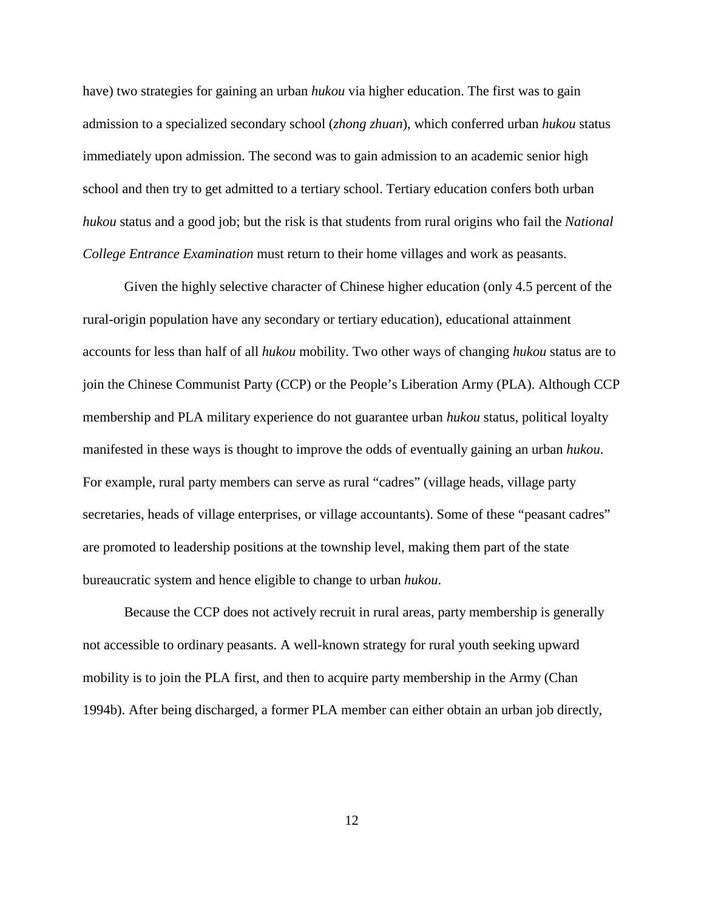have) two strategies for gaining an urban *hukou* via higher education. The first was to gain admission to a specialized secondary school (*zhong zhuan*), which conferred urban *hukou* status immediately upon admission. The second was to gain admission to an academic senior high school and then try to get admitted to a tertiary school. Tertiary education confers both urban *hukou* status and a good job; but the risk is that students from rural origins who fail the *National College Entrance Examination* must return to their home villages and work as peasants.

Given the highly selective character of Chinese higher education (only 4.5 percent of the rural-origin population have any secondary or tertiary education), educational attainment accounts for less than half of all *hukou* mobility. Two other ways of changing *hukou* status are to join the Chinese Communist Party (CCP) or the People's Liberation Army (PLA). Although CCP membership and PLA military experience do not guarantee urban *hukou* status, political loyalty manifested in these ways is thought to improve the odds of eventually gaining an urban *hukou*. For example, rural party members can serve as rural "cadres" (village heads, village party secretaries, heads of village enterprises, or village accountants). Some of these "peasant cadres" are promoted to leadership positions at the township level, making them part of the state bureaucratic system and hence eligible to change to urban *hukou*.

Because the CCP does not actively recruit in rural areas, party membership is generally not accessible to ordinary peasants. A well-known strategy for rural youth seeking upward mobility is to join the PLA first, and then to acquire party membership in the Army (Chan 1994b). After being discharged, a former PLA member can either obtain an urban job directly,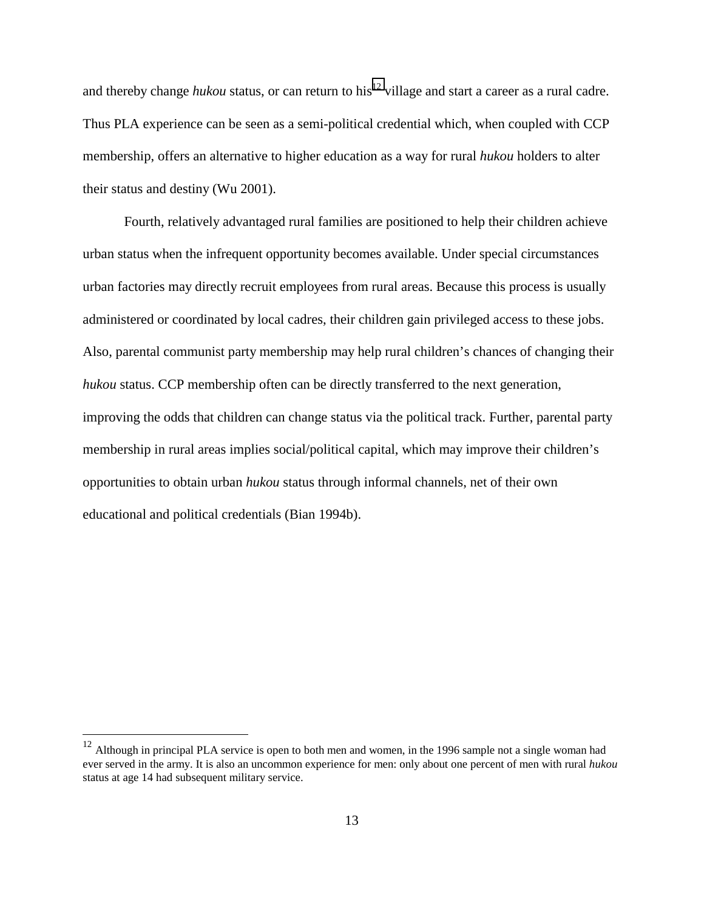and thereby change *hukou* status, or can return to his<sup>12</sup> village and start a career as a rural cadre. Thus PLA experience can be seen as a semi-political credential which, when coupled with CCP membership, offers an alternative to higher education as a way for rural *hukou* holders to alter their status and destiny (Wu 2001).

Fourth, relatively advantaged rural families are positioned to help their children achieve urban status when the infrequent opportunity becomes available. Under special circumstances urban factories may directly recruit employees from rural areas. Because this process is usually administered or coordinated by local cadres, their children gain privileged access to these jobs. Also, parental communist party membership may help rural children's chances of changing their *hukou* status. CCP membership often can be directly transferred to the next generation, improving the odds that children can change status via the political track. Further, parental party membership in rural areas implies social/political capital, which may improve their children's opportunities to obtain urban *hukou* status through informal channels, net of their own educational and political credentials (Bian 1994b).

 $12$  Although in principal PLA service is open to both men and women, in the 1996 sample not a single woman had ever served in the army. It is also an uncommon experience for men: only about one percent of men with rural *hukou* status at age 14 had subsequent military service.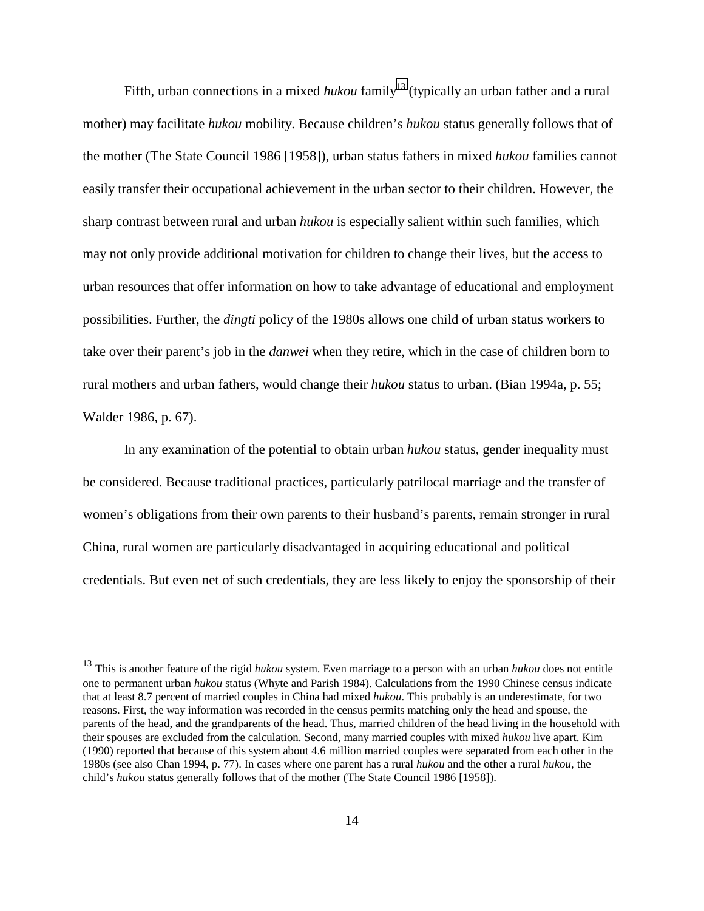Fifth, urban connections in a mixed *hukou* family<sup>13</sup> (typically an urban father and a rural mother) may facilitate *hukou* mobility. Because children's *hukou* status generally follows that of the mother (The State Council 1986 [1958]), urban status fathers in mixed *hukou* families cannot easily transfer their occupational achievement in the urban sector to their children. However, the sharp contrast between rural and urban *hukou* is especially salient within such families, which may not only provide additional motivation for children to change their lives, but the access to urban resources that offer information on how to take advantage of educational and employment possibilities. Further, the *dingti* policy of the 1980s allows one child of urban status workers to take over their parent's job in the *danwei* when they retire, which in the case of children born to rural mothers and urban fathers, would change their *hukou* status to urban. (Bian 1994a, p. 55; Walder 1986, p. 67).

In any examination of the potential to obtain urban *hukou* status, gender inequality must be considered. Because traditional practices, particularly patrilocal marriage and the transfer of women's obligations from their own parents to their husband's parents, remain stronger in rural China, rural women are particularly disadvantaged in acquiring educational and political credentials. But even net of such credentials, they are less likely to enjoy the sponsorship of their

<sup>13</sup> This is another feature of the rigid *hukou* system. Even marriage to a person with an urban *hukou* does not entitle one to permanent urban *hukou* status (Whyte and Parish 1984). Calculations from the 1990 Chinese census indicate that at least 8.7 percent of married couples in China had mixed *hukou*. This probably is an underestimate, for two reasons. First, the way information was recorded in the census permits matching only the head and spouse, the parents of the head, and the grandparents of the head. Thus, married children of the head living in the household with their spouses are excluded from the calculation. Second, many married couples with mixed *hukou* live apart. Kim (1990) reported that because of this system about 4.6 million married couples were separated from each other in the 1980s (see also Chan 1994, p. 77). In cases where one parent has a rural *hukou* and the other a rural *hukou,* the child's *hukou* status generally follows that of the mother (The State Council 1986 [1958]).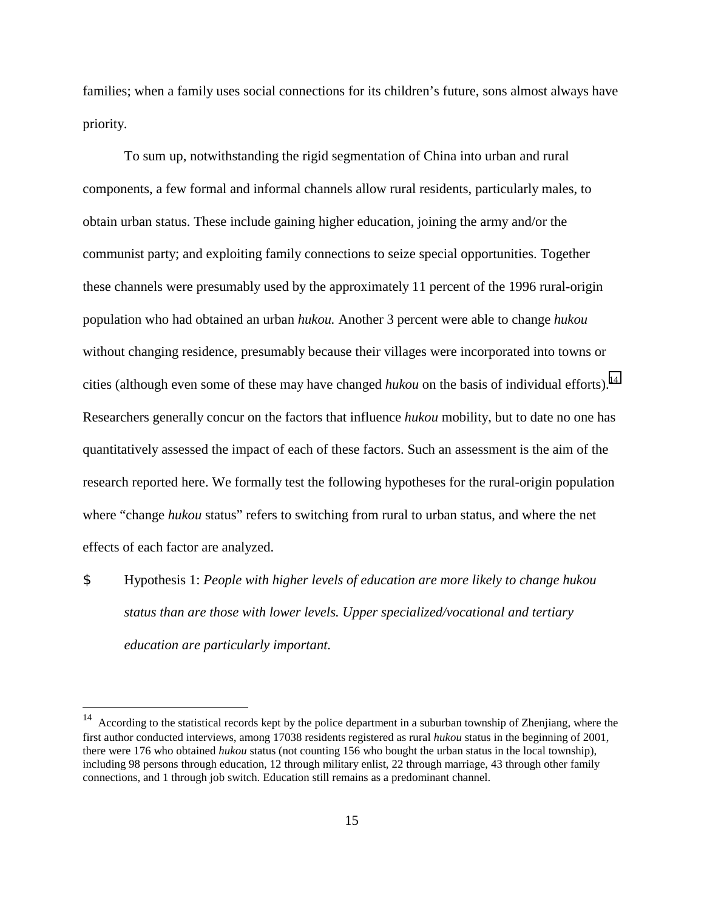families; when a family uses social connections for its children's future, sons almost always have priority.

To sum up, notwithstanding the rigid segmentation of China into urban and rural components, a few formal and informal channels allow rural residents, particularly males, to obtain urban status. These include gaining higher education, joining the army and/or the communist party; and exploiting family connections to seize special opportunities. Together these channels were presumably used by the approximately 11 percent of the 1996 rural-origin population who had obtained an urban *hukou.* Another 3 percent were able to change *hukou* without changing residence, presumably because their villages were incorporated into towns or cities (although even some of these may have changed *hukou* on the basis of individual efforts).<sup>14</sup> Researchers generally concur on the factors that influence *hukou* mobility, but to date no one has quantitatively assessed the impact of each of these factors. Such an assessment is the aim of the research reported here. We formally test the following hypotheses for the rural-origin population where "change *hukou* status" refers to switching from rural to urban status, and where the net effects of each factor are analyzed.

\$ Hypothesis 1: *People with higher levels of education are more likely to change hukou status than are those with lower levels. Upper specialized/vocational and tertiary education are particularly important.*

 $14$  According to the statistical records kept by the police department in a suburban township of Zhenjiang, where the first author conducted interviews, among 17038 residents registered as rural *hukou* status in the beginning of 2001, there were 176 who obtained *hukou* status (not counting 156 who bought the urban status in the local township), including 98 persons through education, 12 through military enlist, 22 through marriage, 43 through other family connections, and 1 through job switch. Education still remains as a predominant channel.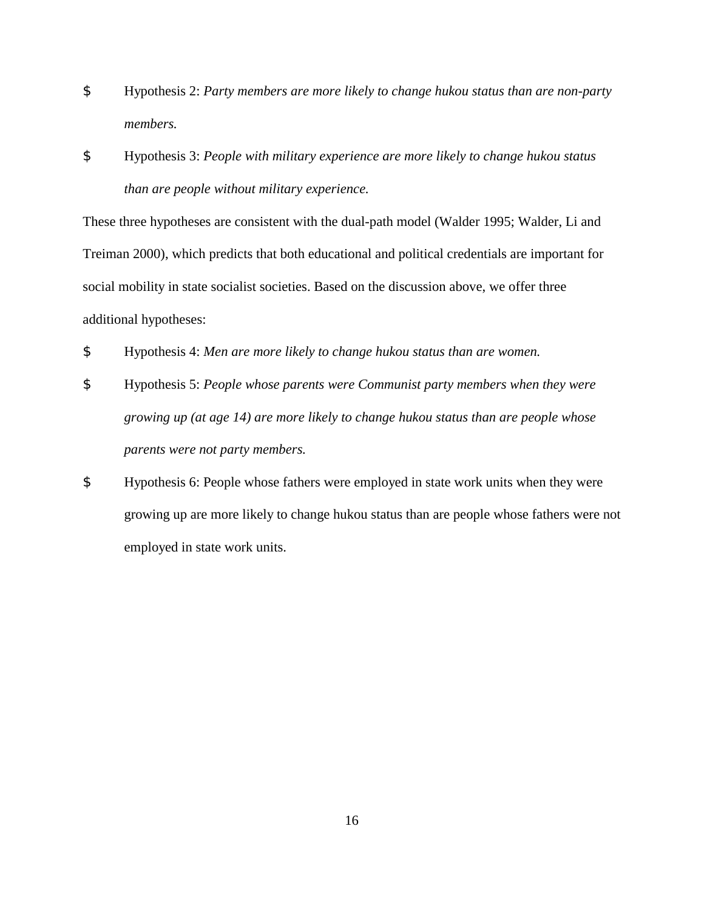- \$ Hypothesis 2: *Party members are more likely to change hukou status than are non-party members.*
- \$ Hypothesis 3: *People with military experience are more likely to change hukou status than are people without military experience.*

These three hypotheses are consistent with the dual-path model (Walder 1995; Walder, Li and Treiman 2000), which predicts that both educational and political credentials are important for social mobility in state socialist societies. Based on the discussion above, we offer three additional hypotheses:

- \$ Hypothesis 4: *Men are more likely to change hukou status than are women.*
- \$ Hypothesis 5: *People whose parents were Communist party members when they were growing up (at age 14) are more likely to change hukou status than are people whose parents were not party members.*
- \$ Hypothesis 6: People whose fathers were employed in state work units when they were growing up are more likely to change hukou status than are people whose fathers were not employed in state work units.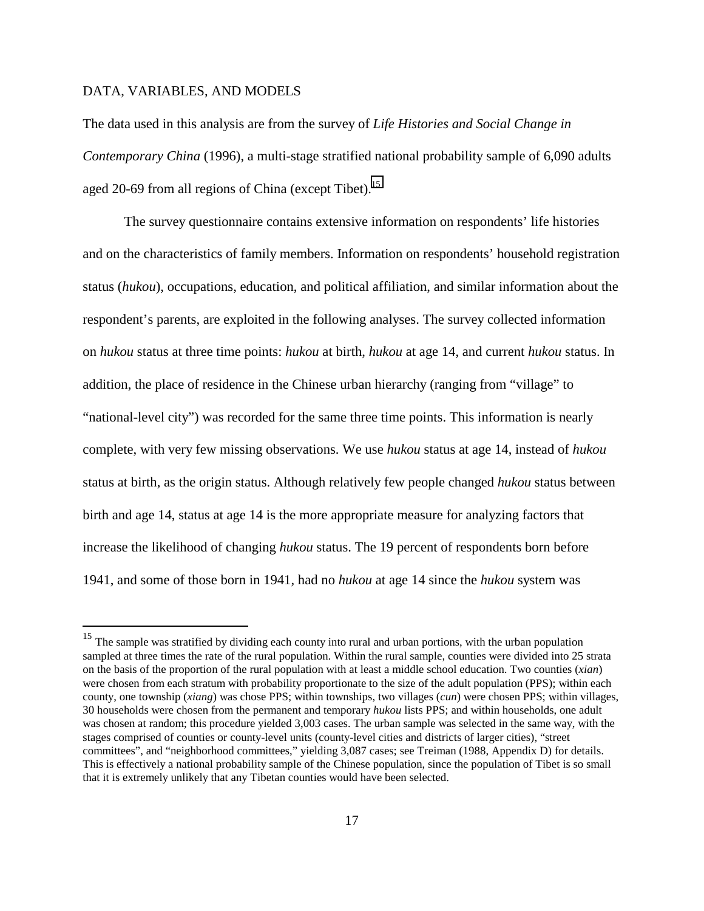### DATA, VARIABLES, AND MODELS

 $\overline{a}$ 

The data used in this analysis are from the survey of *Life Histories and Social Change in Contemporary China* (1996), a multi-stage stratified national probability sample of 6,090 adults aged 20-69 from all regions of China (except Tibet).<sup>15</sup>

The survey questionnaire contains extensive information on respondents' life histories and on the characteristics of family members. Information on respondents' household registration status (*hukou*), occupations, education, and political affiliation, and similar information about the respondent's parents, are exploited in the following analyses. The survey collected information on *hukou* status at three time points: *hukou* at birth, *hukou* at age 14, and current *hukou* status. In addition, the place of residence in the Chinese urban hierarchy (ranging from "village" to "national-level city") was recorded for the same three time points. This information is nearly complete, with very few missing observations. We use *hukou* status at age 14, instead of *hukou* status at birth, as the origin status. Although relatively few people changed *hukou* status between birth and age 14, status at age 14 is the more appropriate measure for analyzing factors that increase the likelihood of changing *hukou* status. The 19 percent of respondents born before 1941, and some of those born in 1941, had no *hukou* at age 14 since the *hukou* system was

<sup>&</sup>lt;sup>15</sup> The sample was stratified by dividing each county into rural and urban portions, with the urban population sampled at three times the rate of the rural population. Within the rural sample, counties were divided into 25 strata on the basis of the proportion of the rural population with at least a middle school education. Two counties (*xian*) were chosen from each stratum with probability proportionate to the size of the adult population (PPS); within each county, one township (*xiang*) was chose PPS; within townships, two villages (*cun*) were chosen PPS; within villages, 30 households were chosen from the permanent and temporary *hukou* lists PPS; and within households, one adult was chosen at random; this procedure yielded 3,003 cases. The urban sample was selected in the same way, with the stages comprised of counties or county-level units (county-level cities and districts of larger cities), "street committees", and "neighborhood committees," yielding 3,087 cases; see Treiman (1988, Appendix D) for details. This is effectively a national probability sample of the Chinese population, since the population of Tibet is so small that it is extremely unlikely that any Tibetan counties would have been selected.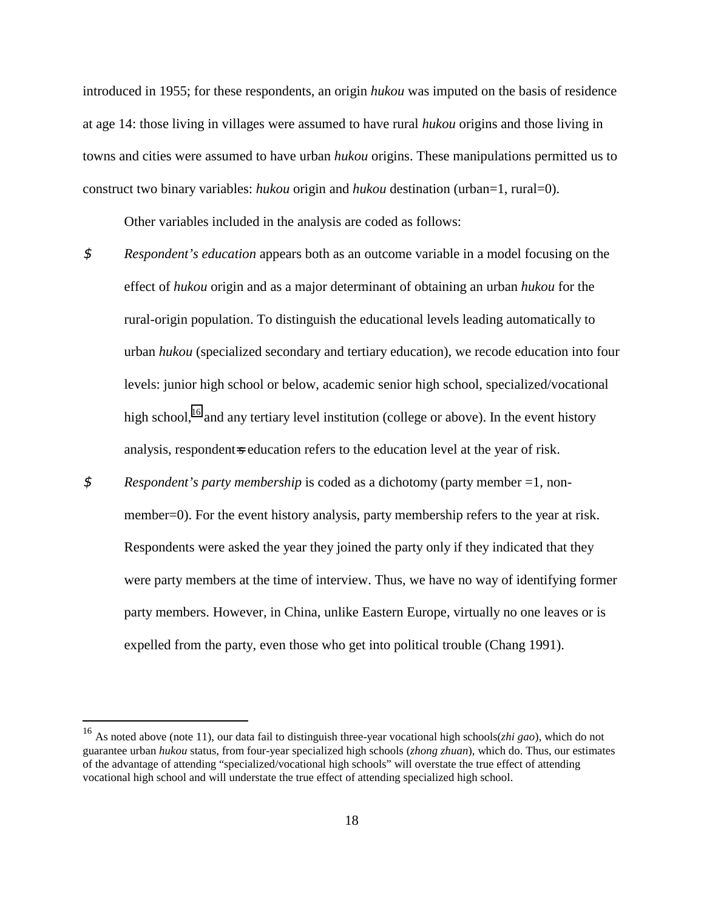introduced in 1955; for these respondents, an origin *hukou* was imputed on the basis of residence at age 14: those living in villages were assumed to have rural *hukou* origins and those living in towns and cities were assumed to have urban *hukou* origins. These manipulations permitted us to construct two binary variables: *hukou* origin and *hukou* destination (urban=1, rural=0).

Other variables included in the analysis are coded as follows:

- \$ *Respondent's education* appears both as an outcome variable in a model focusing on the effect of *hukou* origin and as a major determinant of obtaining an urban *hukou* for the rural-origin population. To distinguish the educational levels leading automatically to urban *hukou* (specialized secondary and tertiary education), we recode education into four levels: junior high school or below, academic senior high school, specialized/vocational high school,<sup>16</sup> and any tertiary level institution (college or above). In the event history analysis, respondent-s education refers to the education level at the year of risk.
- \$ *Respondent's party membership* is coded as a dichotomy (party member =1, nonmember=0). For the event history analysis, party membership refers to the year at risk. Respondents were asked the year they joined the party only if they indicated that they were party members at the time of interview. Thus, we have no way of identifying former party members. However, in China, unlike Eastern Europe, virtually no one leaves or is expelled from the party, even those who get into political trouble (Chang 1991).

<sup>16</sup> As noted above (note 11), our data fail to distinguish three-year vocational high schools(*zhi gao*), which do not guarantee urban *hukou* status, from four-year specialized high schools (*zhong zhuan*), which do. Thus, our estimates of the advantage of attending "specialized/vocational high schools" will overstate the true effect of attending vocational high school and will understate the true effect of attending specialized high school.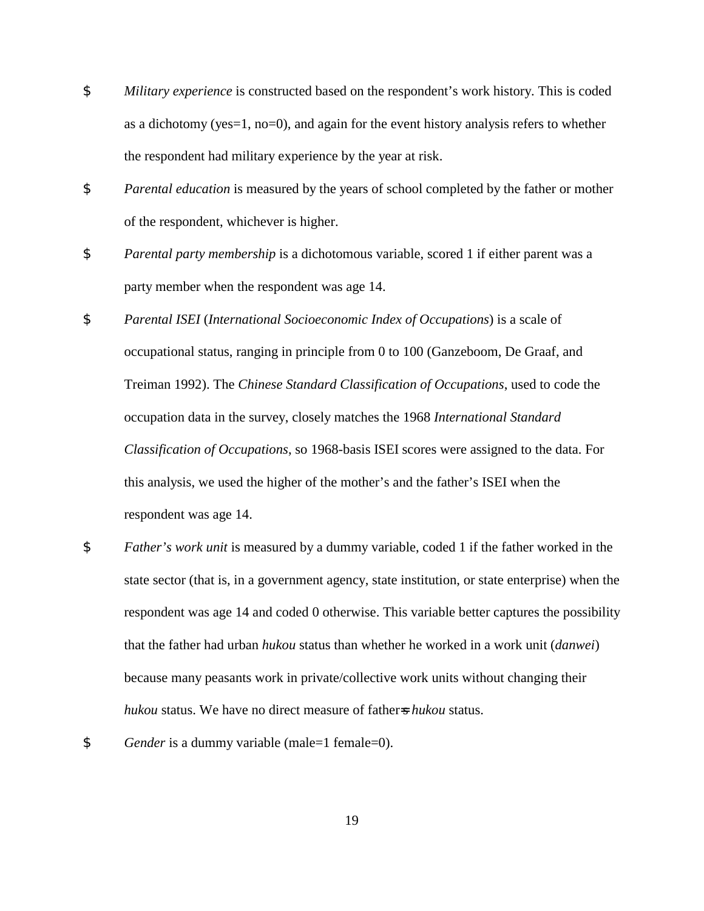- \$ *Military experience* is constructed based on the respondent's work history. This is coded as a dichotomy (yes=1, no=0), and again for the event history analysis refers to whether the respondent had military experience by the year at risk.
- \$ *Parental education* is measured by the years of school completed by the father or mother of the respondent, whichever is higher.
- \$ *Parental party membership* is a dichotomous variable, scored 1 if either parent was a party member when the respondent was age 14.
- \$ *Parental ISEI* (*International Socioeconomic Index of Occupations*) is a scale of occupational status, ranging in principle from 0 to 100 (Ganzeboom, De Graaf, and Treiman 1992). The *Chinese Standard Classification of Occupations*, used to code the occupation data in the survey, closely matches the 1968 *International Standard Classification of Occupations*, so 1968-basis ISEI scores were assigned to the data. For this analysis, we used the higher of the mother's and the father's ISEI when the respondent was age 14.
- \$ *Father's work unit* is measured by a dummy variable, coded 1 if the father worked in the state sector (that is, in a government agency, state institution, or state enterprise) when the respondent was age 14 and coded 0 otherwise. This variable better captures the possibility that the father had urban *hukou* status than whether he worked in a work unit (*danwei*) because many peasants work in private/collective work units without changing their *hukou* status. We have no direct measure of father=s *hukou* status.
- \$ *Gender* is a dummy variable (male=1 female=0).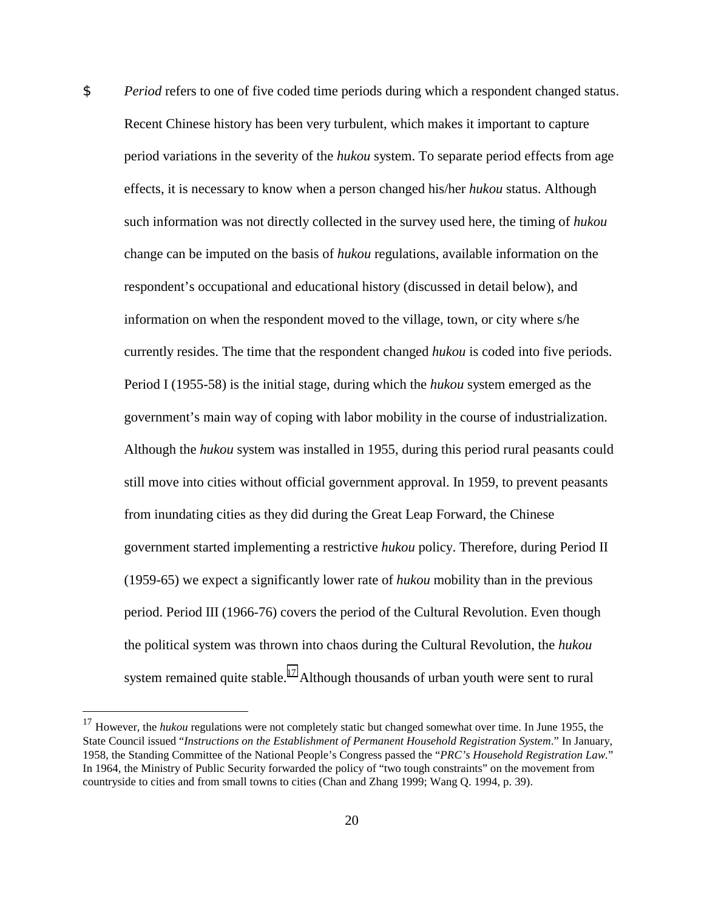\$ *Period* refers to one of five coded time periods during which a respondent changed status. Recent Chinese history has been very turbulent, which makes it important to capture period variations in the severity of the *hukou* system. To separate period effects from age effects, it is necessary to know when a person changed his/her *hukou* status. Although such information was not directly collected in the survey used here, the timing of *hukou* change can be imputed on the basis of *hukou* regulations, available information on the respondent's occupational and educational history (discussed in detail below), and information on when the respondent moved to the village, town, or city where s/he currently resides. The time that the respondent changed *hukou* is coded into five periods. Period I (1955-58) is the initial stage, during which the *hukou* system emerged as the government's main way of coping with labor mobility in the course of industrialization. Although the *hukou* system was installed in 1955, during this period rural peasants could still move into cities without official government approval. In 1959, to prevent peasants from inundating cities as they did during the Great Leap Forward, the Chinese government started implementing a restrictive *hukou* policy. Therefore, during Period II (1959-65) we expect a significantly lower rate of *hukou* mobility than in the previous period. Period III (1966-76) covers the period of the Cultural Revolution. Even though the political system was thrown into chaos during the Cultural Revolution, the *hukou* system remained quite stable.<sup>17</sup> Although thousands of urban youth were sent to rural

<sup>&</sup>lt;sup>17</sup> However, the *hukou* regulations were not completely static but changed somewhat over time. In June 1955, the State Council issued "*Instructions on the Establishment of Permanent Household Registration System*." In January, 1958, the Standing Committee of the National People's Congress passed the "*PRC's Household Registration Law.*" In 1964, the Ministry of Public Security forwarded the policy of "two tough constraints" on the movement from countryside to cities and from small towns to cities (Chan and Zhang 1999; Wang Q. 1994, p. 39).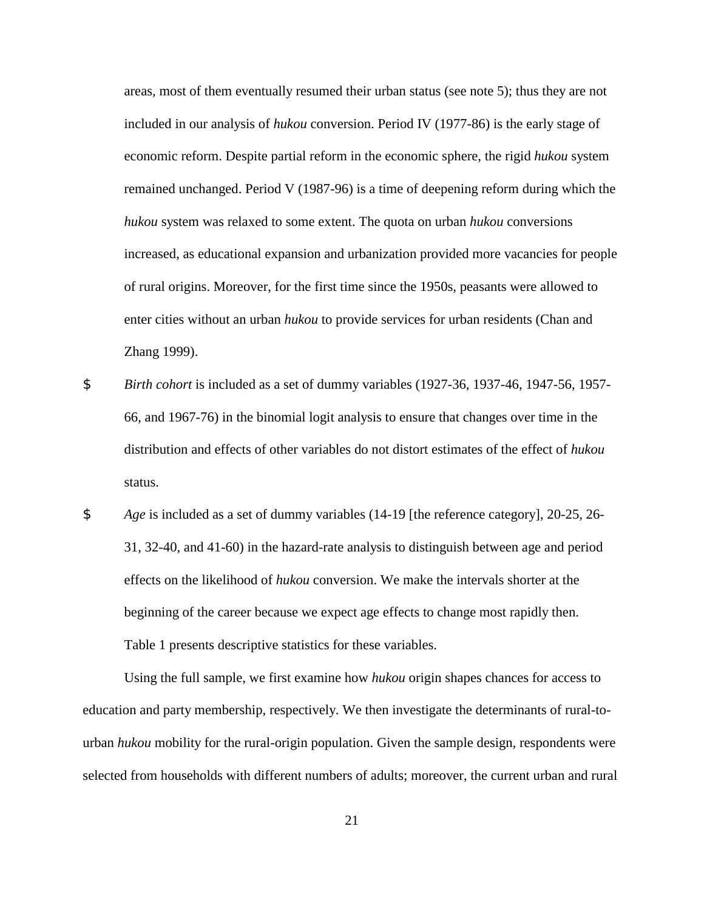areas, most of them eventually resumed their urban status (see note 5); thus they are not included in our analysis of *hukou* conversion. Period IV (1977-86) is the early stage of economic reform. Despite partial reform in the economic sphere, the rigid *hukou* system remained unchanged. Period V (1987-96) is a time of deepening reform during which the *hukou* system was relaxed to some extent. The quota on urban *hukou* conversions increased, as educational expansion and urbanization provided more vacancies for people of rural origins. Moreover, for the first time since the 1950s, peasants were allowed to enter cities without an urban *hukou* to provide services for urban residents (Chan and Zhang 1999).

- \$ *Birth cohort* is included as a set of dummy variables (1927-36, 1937-46, 1947-56, 1957- 66, and 1967-76) in the binomial logit analysis to ensure that changes over time in the distribution and effects of other variables do not distort estimates of the effect of *hukou* status.
- \$ *Age* is included as a set of dummy variables (14-19 [the reference category], 20-25, 26- 31, 32-40, and 41-60) in the hazard-rate analysis to distinguish between age and period effects on the likelihood of *hukou* conversion. We make the intervals shorter at the beginning of the career because we expect age effects to change most rapidly then. Table 1 presents descriptive statistics for these variables.

Using the full sample, we first examine how *hukou* origin shapes chances for access to education and party membership, respectively. We then investigate the determinants of rural-tourban *hukou* mobility for the rural-origin population. Given the sample design, respondents were selected from households with different numbers of adults; moreover, the current urban and rural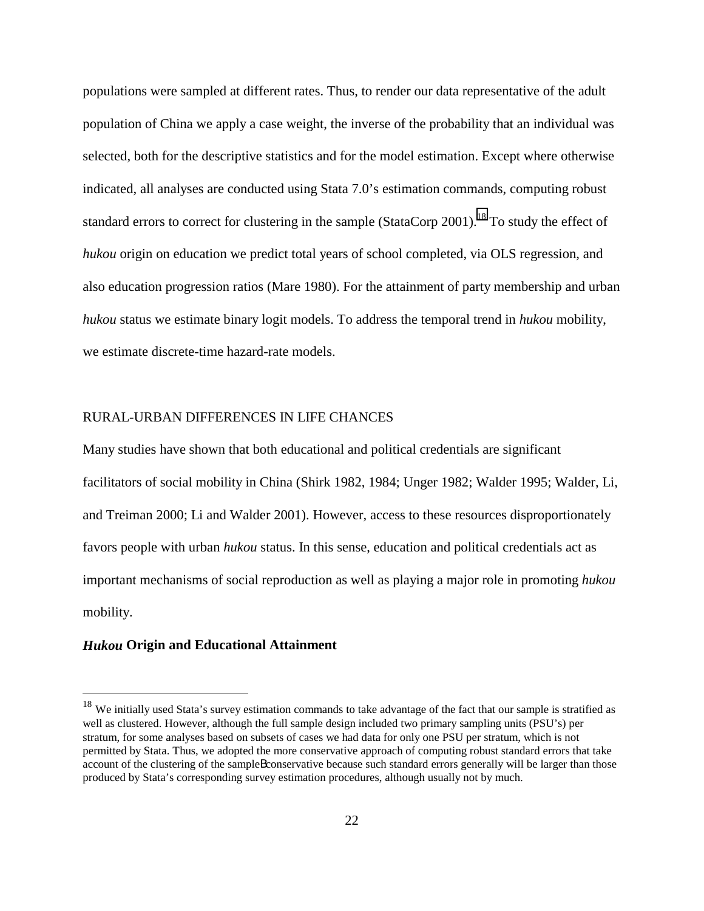populations were sampled at different rates. Thus, to render our data representative of the adult population of China we apply a case weight, the inverse of the probability that an individual was selected, both for the descriptive statistics and for the model estimation. Except where otherwise indicated, all analyses are conducted using Stata 7.0's estimation commands, computing robust standard errors to correct for clustering in the sample (StataCorp 2001).<sup>18</sup> To study the effect of *hukou* origin on education we predict total years of school completed, via OLS regression, and also education progression ratios (Mare 1980). For the attainment of party membership and urban *hukou* status we estimate binary logit models. To address the temporal trend in *hukou* mobility, we estimate discrete-time hazard-rate models.

# RURAL-URBAN DIFFERENCES IN LIFE CHANCES

Many studies have shown that both educational and political credentials are significant facilitators of social mobility in China (Shirk 1982, 1984; Unger 1982; Walder 1995; Walder, Li, and Treiman 2000; Li and Walder 2001). However, access to these resources disproportionately favors people with urban *hukou* status. In this sense, education and political credentials act as important mechanisms of social reproduction as well as playing a major role in promoting *hukou* mobility.

# *Hukou* **Origin and Educational Attainment**

<sup>&</sup>lt;sup>18</sup> We initially used Stata's survey estimation commands to take advantage of the fact that our sample is stratified as well as clustered. However, although the full sample design included two primary sampling units (PSU's) per stratum, for some analyses based on subsets of cases we had data for only one PSU per stratum, which is not permitted by Stata. Thus, we adopted the more conservative approach of computing robust standard errors that take account of the clustering of the sampleBconservative because such standard errors generally will be larger than those produced by Stata's corresponding survey estimation procedures, although usually not by much.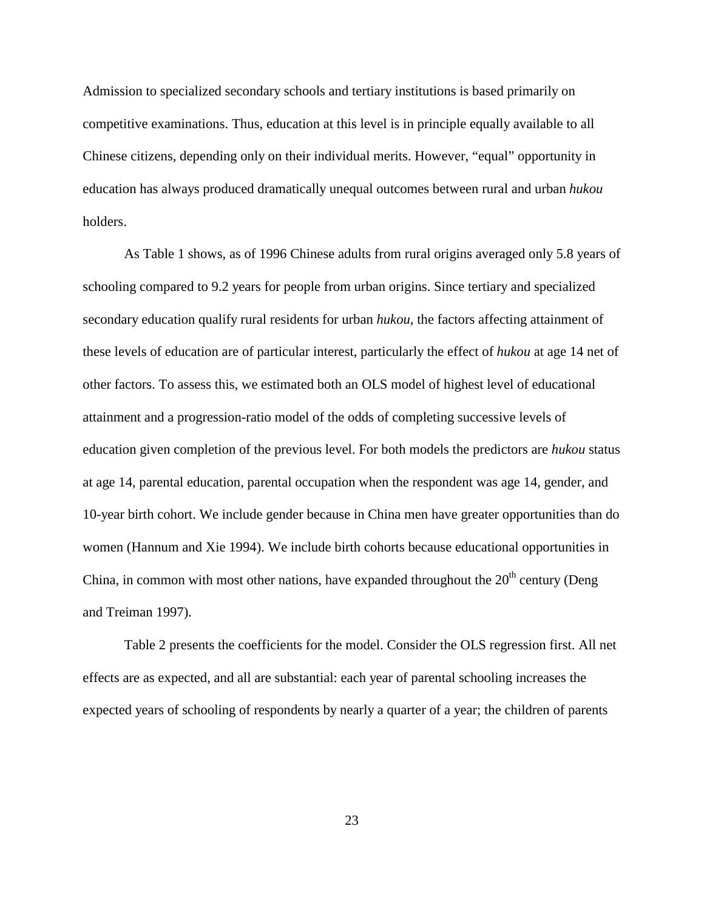Admission to specialized secondary schools and tertiary institutions is based primarily on competitive examinations. Thus, education at this level is in principle equally available to all Chinese citizens, depending only on their individual merits. However, "equal" opportunity in education has always produced dramatically unequal outcomes between rural and urban *hukou* holders.

As Table 1 shows, as of 1996 Chinese adults from rural origins averaged only 5.8 years of schooling compared to 9.2 years for people from urban origins. Since tertiary and specialized secondary education qualify rural residents for urban *hukou*, the factors affecting attainment of these levels of education are of particular interest, particularly the effect of *hukou* at age 14 net of other factors. To assess this, we estimated both an OLS model of highest level of educational attainment and a progression-ratio model of the odds of completing successive levels of education given completion of the previous level. For both models the predictors are *hukou* status at age 14, parental education, parental occupation when the respondent was age 14, gender, and 10-year birth cohort. We include gender because in China men have greater opportunities than do women (Hannum and Xie 1994). We include birth cohorts because educational opportunities in China, in common with most other nations, have expanded throughout the  $20<sup>th</sup>$  century (Deng and Treiman 1997).

Table 2 presents the coefficients for the model. Consider the OLS regression first. All net effects are as expected, and all are substantial: each year of parental schooling increases the expected years of schooling of respondents by nearly a quarter of a year; the children of parents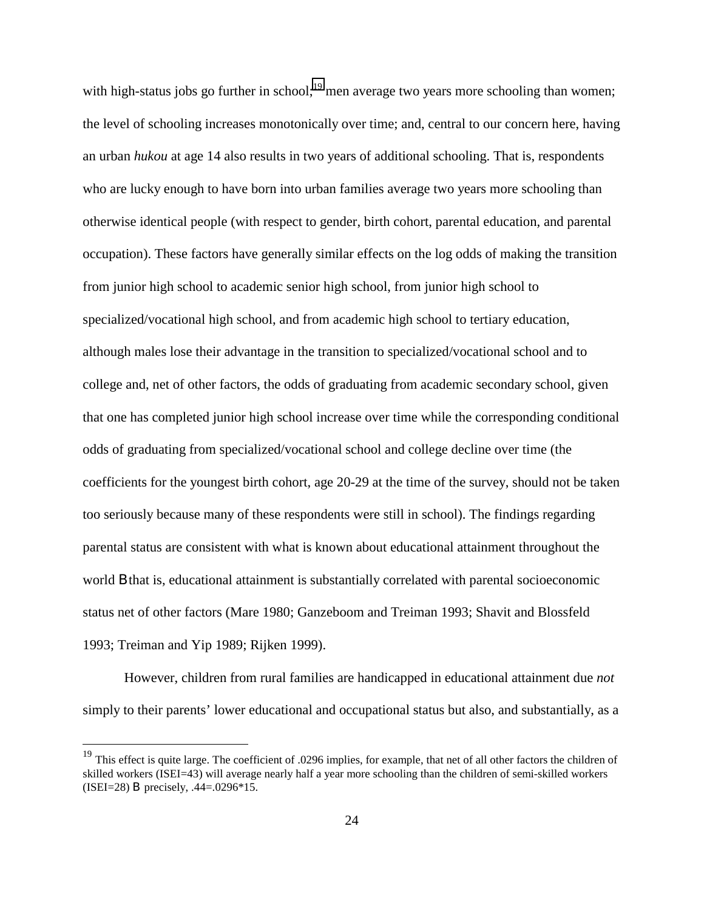with high-status jobs go further in school;<sup>19</sup> men average two years more schooling than women; the level of schooling increases monotonically over time; and, central to our concern here, having an urban *hukou* at age 14 also results in two years of additional schooling. That is, respondents who are lucky enough to have born into urban families average two years more schooling than otherwise identical people (with respect to gender, birth cohort, parental education, and parental occupation). These factors have generally similar effects on the log odds of making the transition from junior high school to academic senior high school, from junior high school to specialized/vocational high school, and from academic high school to tertiary education, although males lose their advantage in the transition to specialized/vocational school and to college and, net of other factors, the odds of graduating from academic secondary school, given that one has completed junior high school increase over time while the corresponding conditional odds of graduating from specialized/vocational school and college decline over time (the coefficients for the youngest birth cohort, age 20-29 at the time of the survey, should not be taken too seriously because many of these respondents were still in school). The findings regarding parental status are consistent with what is known about educational attainment throughout the world B that is, educational attainment is substantially correlated with parental socioeconomic status net of other factors (Mare 1980; Ganzeboom and Treiman 1993; Shavit and Blossfeld 1993; Treiman and Yip 1989; Rijken 1999).

However, children from rural families are handicapped in educational attainment due *not* simply to their parents' lower educational and occupational status but also, and substantially, as a

<sup>&</sup>lt;sup>19</sup> This effect is quite large. The coefficient of .0296 implies, for example, that net of all other factors the children of skilled workers (ISEI=43) will average nearly half a year more schooling than the children of semi-skilled workers (ISEI=28) B precisely, .44=.0296\*15.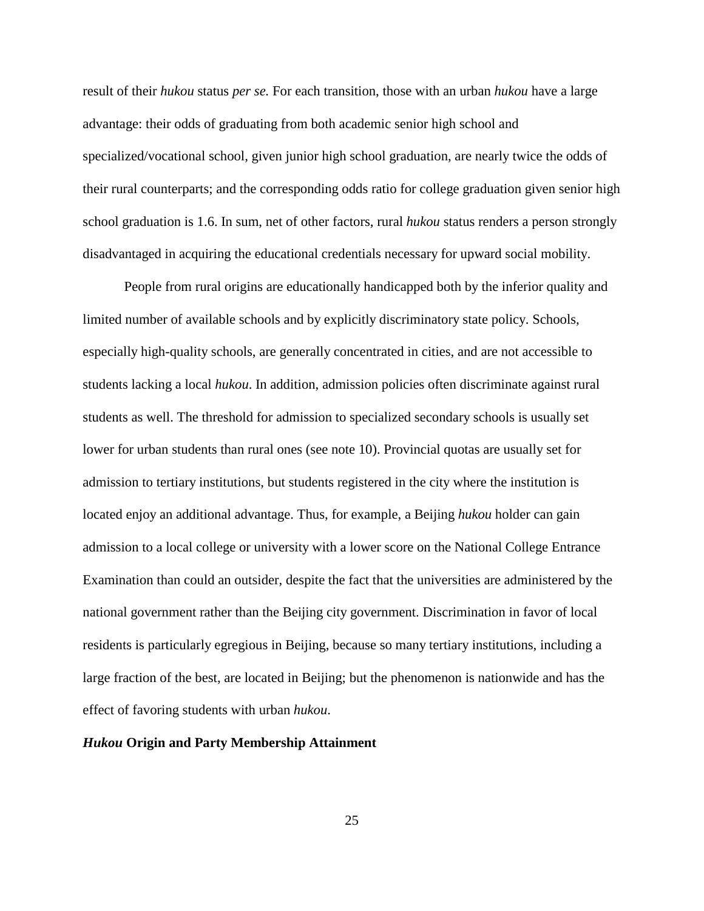result of their *hukou* status *per se.* For each transition, those with an urban *hukou* have a large advantage: their odds of graduating from both academic senior high school and specialized/vocational school, given junior high school graduation, are nearly twice the odds of their rural counterparts; and the corresponding odds ratio for college graduation given senior high school graduation is 1.6. In sum, net of other factors, rural *hukou* status renders a person strongly disadvantaged in acquiring the educational credentials necessary for upward social mobility.

People from rural origins are educationally handicapped both by the inferior quality and limited number of available schools and by explicitly discriminatory state policy. Schools, especially high-quality schools, are generally concentrated in cities, and are not accessible to students lacking a local *hukou*. In addition, admission policies often discriminate against rural students as well. The threshold for admission to specialized secondary schools is usually set lower for urban students than rural ones (see note 10). Provincial quotas are usually set for admission to tertiary institutions, but students registered in the city where the institution is located enjoy an additional advantage. Thus, for example, a Beijing *hukou* holder can gain admission to a local college or university with a lower score on the National College Entrance Examination than could an outsider, despite the fact that the universities are administered by the national government rather than the Beijing city government. Discrimination in favor of local residents is particularly egregious in Beijing, because so many tertiary institutions, including a large fraction of the best, are located in Beijing; but the phenomenon is nationwide and has the effect of favoring students with urban *hukou*.

## *Hukou* **Origin and Party Membership Attainment**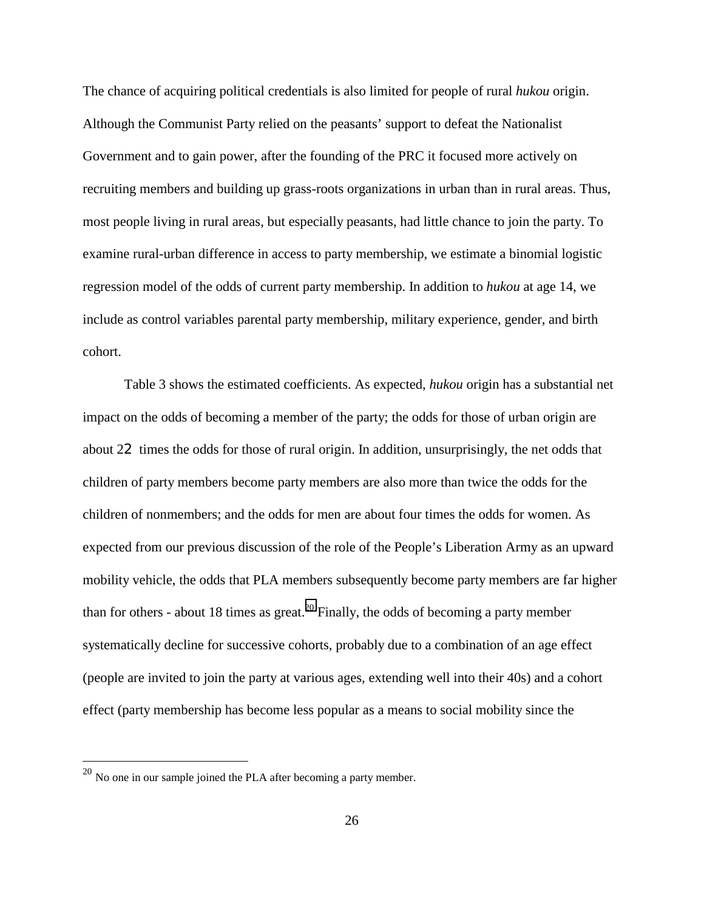The chance of acquiring political credentials is also limited for people of rural *hukou* origin. Although the Communist Party relied on the peasants' support to defeat the Nationalist Government and to gain power, after the founding of the PRC it focused more actively on recruiting members and building up grass-roots organizations in urban than in rural areas. Thus, most people living in rural areas, but especially peasants, had little chance to join the party. To examine rural-urban difference in access to party membership, we estimate a binomial logistic regression model of the odds of current party membership. In addition to *hukou* at age 14, we include as control variables parental party membership, military experience, gender, and birth cohort.

Table 3 shows the estimated coefficients. As expected, *hukou* origin has a substantial net impact on the odds of becoming a member of the party; the odds for those of urban origin are about 22 times the odds for those of rural origin. In addition, unsurprisingly, the net odds that children of party members become party members are also more than twice the odds for the children of nonmembers; and the odds for men are about four times the odds for women. As expected from our previous discussion of the role of the People's Liberation Army as an upward mobility vehicle, the odds that PLA members subsequently become party members are far higher than for others - about 18 times as great.<sup>20</sup> Finally, the odds of becoming a party member systematically decline for successive cohorts, probably due to a combination of an age effect (people are invited to join the party at various ages, extending well into their 40s) and a cohort effect (party membership has become less popular as a means to social mobility since the

 $^{20}$  No one in our sample joined the PLA after becoming a party member.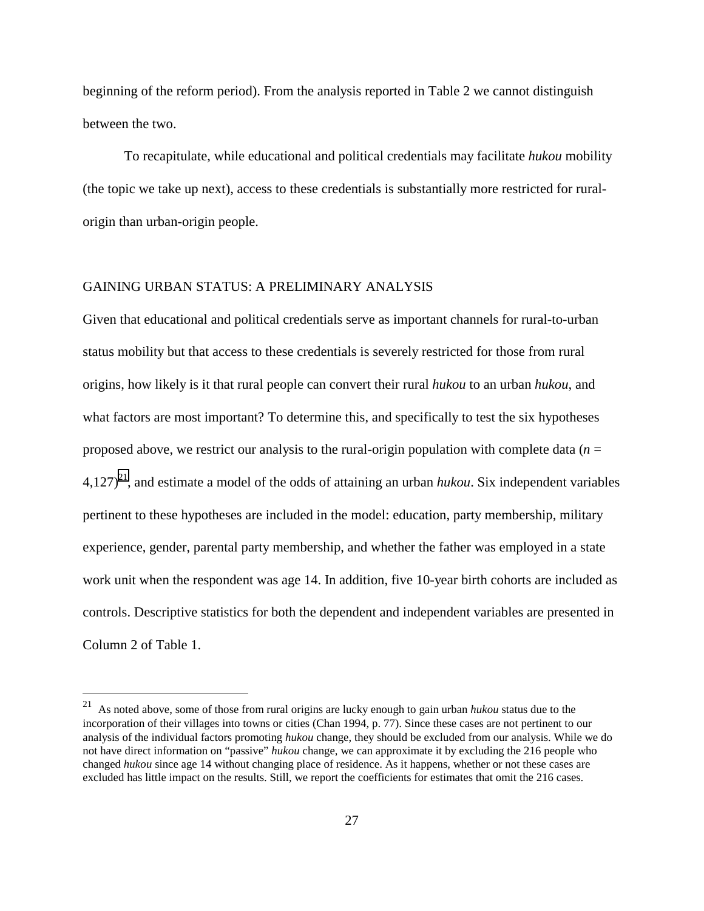beginning of the reform period). From the analysis reported in Table 2 we cannot distinguish between the two.

To recapitulate, while educational and political credentials may facilitate *hukou* mobility (the topic we take up next), access to these credentials is substantially more restricted for ruralorigin than urban-origin people.

# GAINING URBAN STATUS: A PRELIMINARY ANALYSIS

 $\overline{a}$ 

Given that educational and political credentials serve as important channels for rural-to-urban status mobility but that access to these credentials is severely restricted for those from rural origins, how likely is it that rural people can convert their rural *hukou* to an urban *hukou*, and what factors are most important? To determine this, and specifically to test the six hypotheses proposed above, we restrict our analysis to the rural-origin population with complete data  $(n =$  $4,127$ <sup>21</sup>, and estimate a model of the odds of attaining an urban *hukou*. Six independent variables pertinent to these hypotheses are included in the model: education, party membership, military experience, gender, parental party membership, and whether the father was employed in a state work unit when the respondent was age 14. In addition, five 10-year birth cohorts are included as controls. Descriptive statistics for both the dependent and independent variables are presented in Column 2 of Table 1.

<sup>21</sup> As noted above, some of those from rural origins are lucky enough to gain urban *hukou* status due to the incorporation of their villages into towns or cities (Chan 1994, p. 77). Since these cases are not pertinent to our analysis of the individual factors promoting *hukou* change, they should be excluded from our analysis. While we do not have direct information on "passive" *hukou* change, we can approximate it by excluding the 216 people who changed *hukou* since age 14 without changing place of residence. As it happens, whether or not these cases are excluded has little impact on the results. Still, we report the coefficients for estimates that omit the 216 cases.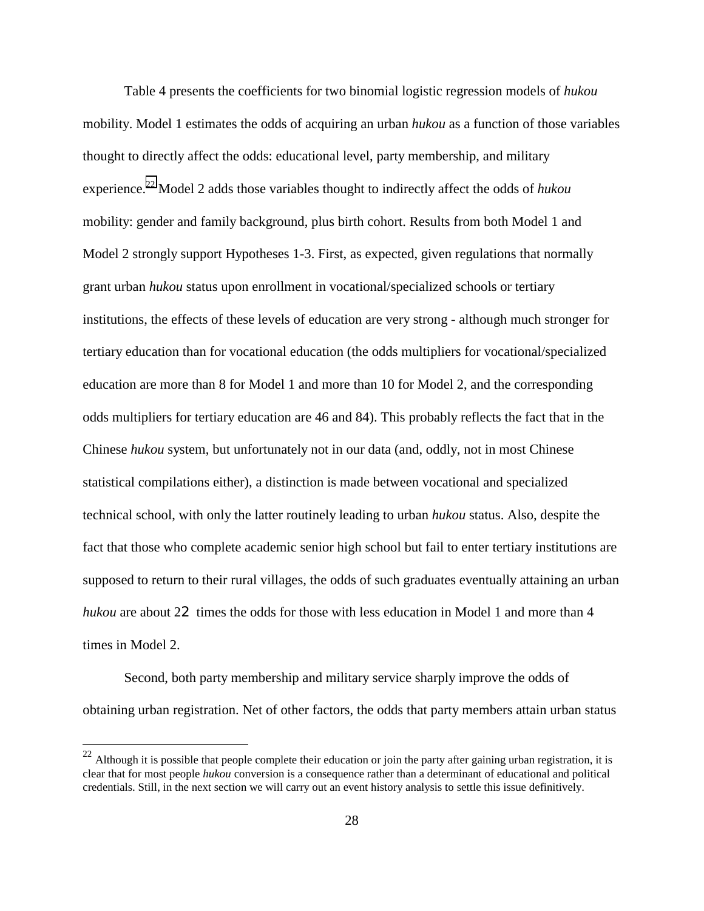Table 4 presents the coefficients for two binomial logistic regression models of *hukou* mobility. Model 1 estimates the odds of acquiring an urban *hukou* as a function of those variables thought to directly affect the odds: educational level, party membership, and military experience.22 Model 2 adds those variables thought to indirectly affect the odds of *hukou* mobility: gender and family background, plus birth cohort. Results from both Model 1 and Model 2 strongly support Hypotheses 1-3. First, as expected, given regulations that normally grant urban *hukou* status upon enrollment in vocational/specialized schools or tertiary institutions, the effects of these levels of education are very strong - although much stronger for tertiary education than for vocational education (the odds multipliers for vocational/specialized education are more than 8 for Model 1 and more than 10 for Model 2, and the corresponding odds multipliers for tertiary education are 46 and 84). This probably reflects the fact that in the Chinese *hukou* system, but unfortunately not in our data (and, oddly, not in most Chinese statistical compilations either), a distinction is made between vocational and specialized technical school, with only the latter routinely leading to urban *hukou* status. Also, despite the fact that those who complete academic senior high school but fail to enter tertiary institutions are supposed to return to their rural villages, the odds of such graduates eventually attaining an urban *hukou* are about 22 times the odds for those with less education in Model 1 and more than 4 times in Model 2.

Second, both party membership and military service sharply improve the odds of obtaining urban registration. Net of other factors, the odds that party members attain urban status

 $22$  Although it is possible that people complete their education or join the party after gaining urban registration, it is clear that for most people *hukou* conversion is a consequence rather than a determinant of educational and political credentials. Still, in the next section we will carry out an event history analysis to settle this issue definitively.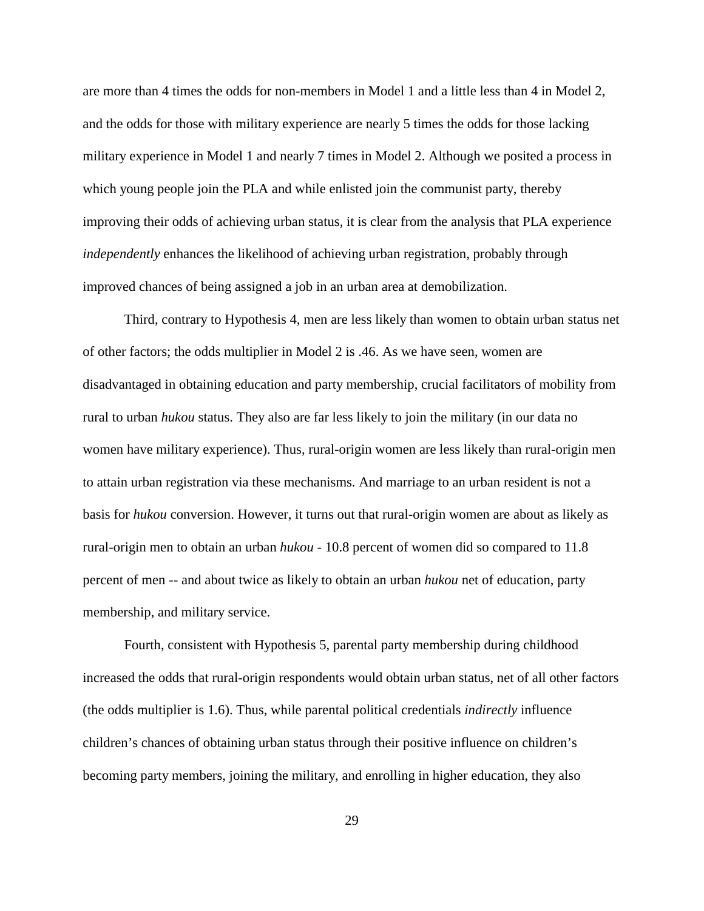are more than 4 times the odds for non-members in Model 1 and a little less than 4 in Model 2, and the odds for those with military experience are nearly 5 times the odds for those lacking military experience in Model 1 and nearly 7 times in Model 2. Although we posited a process in which young people join the PLA and while enlisted join the communist party, thereby improving their odds of achieving urban status, it is clear from the analysis that PLA experience *independently* enhances the likelihood of achieving urban registration, probably through improved chances of being assigned a job in an urban area at demobilization.

Third, contrary to Hypothesis 4, men are less likely than women to obtain urban status net of other factors; the odds multiplier in Model 2 is .46. As we have seen, women are disadvantaged in obtaining education and party membership, crucial facilitators of mobility from rural to urban *hukou* status. They also are far less likely to join the military (in our data no women have military experience). Thus, rural-origin women are less likely than rural-origin men to attain urban registration via these mechanisms. And marriage to an urban resident is not a basis for *hukou* conversion. However, it turns out that rural-origin women are about as likely as rural-origin men to obtain an urban *hukou* - 10.8 percent of women did so compared to 11.8 percent of men -- and about twice as likely to obtain an urban *hukou* net of education, party membership, and military service.

Fourth, consistent with Hypothesis 5, parental party membership during childhood increased the odds that rural-origin respondents would obtain urban status, net of all other factors (the odds multiplier is 1.6). Thus, while parental political credentials *indirectly* influence children's chances of obtaining urban status through their positive influence on children's becoming party members, joining the military, and enrolling in higher education, they also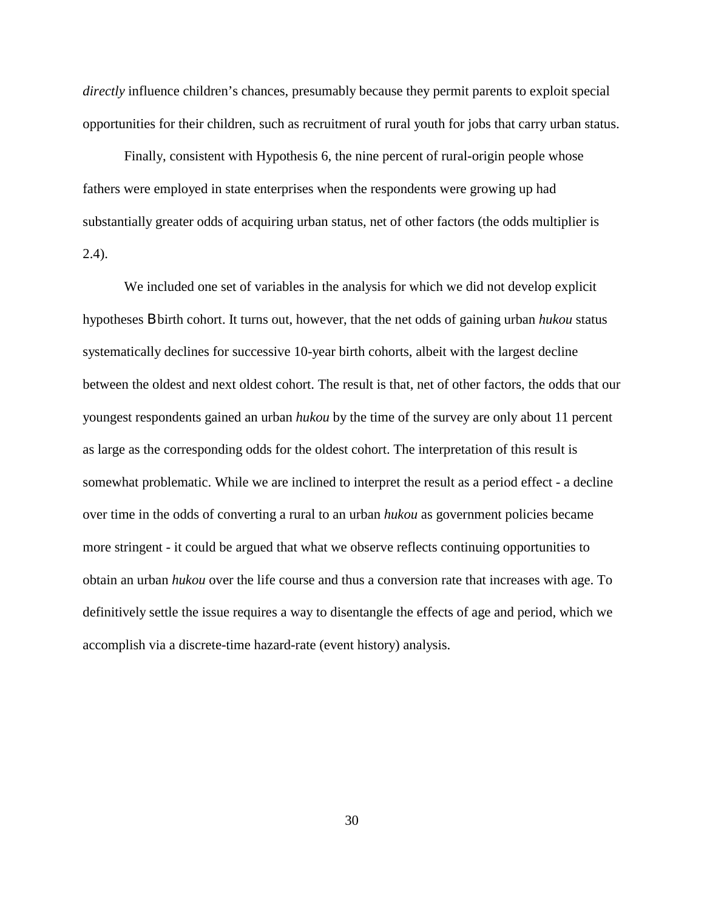*directly* influence children's chances, presumably because they permit parents to exploit special opportunities for their children, such as recruitment of rural youth for jobs that carry urban status.

Finally, consistent with Hypothesis 6, the nine percent of rural-origin people whose fathers were employed in state enterprises when the respondents were growing up had substantially greater odds of acquiring urban status, net of other factors (the odds multiplier is 2.4).

We included one set of variables in the analysis for which we did not develop explicit hypotheses B birth cohort. It turns out, however, that the net odds of gaining urban *hukou* status systematically declines for successive 10-year birth cohorts, albeit with the largest decline between the oldest and next oldest cohort. The result is that, net of other factors, the odds that our youngest respondents gained an urban *hukou* by the time of the survey are only about 11 percent as large as the corresponding odds for the oldest cohort. The interpretation of this result is somewhat problematic. While we are inclined to interpret the result as a period effect - a decline over time in the odds of converting a rural to an urban *hukou* as government policies became more stringent - it could be argued that what we observe reflects continuing opportunities to obtain an urban *hukou* over the life course and thus a conversion rate that increases with age. To definitively settle the issue requires a way to disentangle the effects of age and period, which we accomplish via a discrete-time hazard-rate (event history) analysis.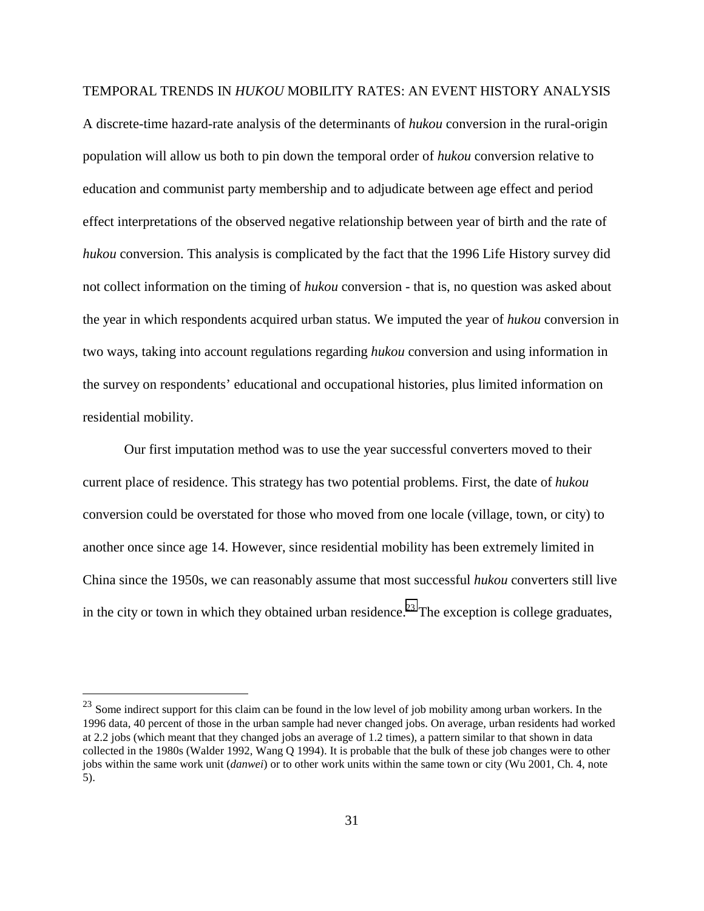### TEMPORAL TRENDS IN *HUKOU* MOBILITY RATES: AN EVENT HISTORY ANALYSIS

A discrete-time hazard-rate analysis of the determinants of *hukou* conversion in the rural-origin population will allow us both to pin down the temporal order of *hukou* conversion relative to education and communist party membership and to adjudicate between age effect and period effect interpretations of the observed negative relationship between year of birth and the rate of *hukou* conversion. This analysis is complicated by the fact that the 1996 Life History survey did not collect information on the timing of *hukou* conversion - that is, no question was asked about the year in which respondents acquired urban status. We imputed the year of *hukou* conversion in two ways, taking into account regulations regarding *hukou* conversion and using information in the survey on respondents' educational and occupational histories, plus limited information on residential mobility.

Our first imputation method was to use the year successful converters moved to their current place of residence. This strategy has two potential problems. First, the date of *hukou* conversion could be overstated for those who moved from one locale (village, town, or city) to another once since age 14. However, since residential mobility has been extremely limited in China since the 1950s, we can reasonably assume that most successful *hukou* converters still live in the city or town in which they obtained urban residence.<sup>23</sup> The exception is college graduates,

<sup>&</sup>lt;sup>23</sup> Some indirect support for this claim can be found in the low level of job mobility among urban workers. In the 1996 data, 40 percent of those in the urban sample had never changed jobs. On average, urban residents had worked at 2.2 jobs (which meant that they changed jobs an average of 1.2 times), a pattern similar to that shown in data collected in the 1980s (Walder 1992, Wang Q 1994). It is probable that the bulk of these job changes were to other jobs within the same work unit (*danwei*) or to other work units within the same town or city (Wu 2001, Ch. 4, note 5).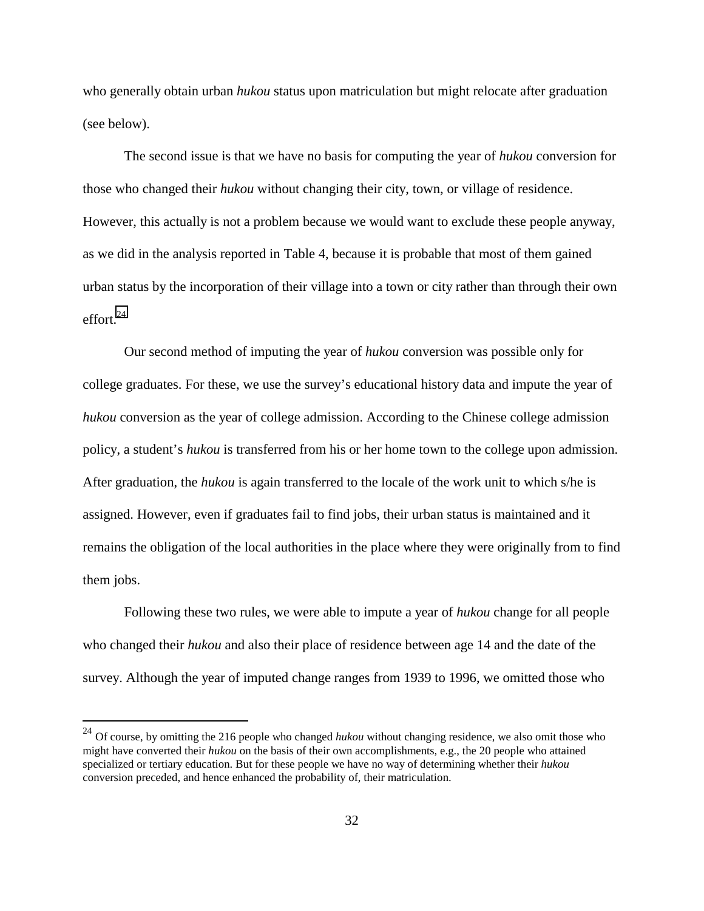who generally obtain urban *hukou* status upon matriculation but might relocate after graduation (see below).

The second issue is that we have no basis for computing the year of *hukou* conversion for those who changed their *hukou* without changing their city, town, or village of residence. However, this actually is not a problem because we would want to exclude these people anyway, as we did in the analysis reported in Table 4, because it is probable that most of them gained urban status by the incorporation of their village into a town or city rather than through their own effort $^{24}$ 

Our second method of imputing the year of *hukou* conversion was possible only for college graduates. For these, we use the survey's educational history data and impute the year of *hukou* conversion as the year of college admission. According to the Chinese college admission policy, a student's *hukou* is transferred from his or her home town to the college upon admission. After graduation, the *hukou* is again transferred to the locale of the work unit to which s/he is assigned. However, even if graduates fail to find jobs, their urban status is maintained and it remains the obligation of the local authorities in the place where they were originally from to find them jobs.

Following these two rules, we were able to impute a year of *hukou* change for all people who changed their *hukou* and also their place of residence between age 14 and the date of the survey. Although the year of imputed change ranges from 1939 to 1996, we omitted those who

<sup>&</sup>lt;sup>24</sup> Of course, by omitting the 216 people who changed *hukou* without changing residence, we also omit those who might have converted their *hukou* on the basis of their own accomplishments, e.g., the 20 people who attained specialized or tertiary education. But for these people we have no way of determining whether their *hukou* conversion preceded, and hence enhanced the probability of, their matriculation.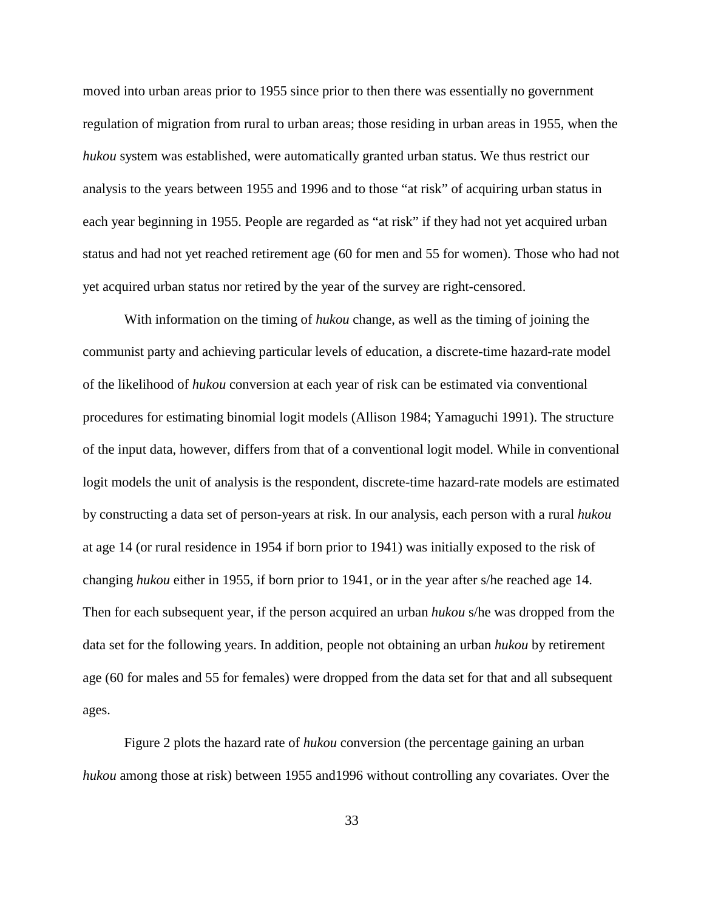moved into urban areas prior to 1955 since prior to then there was essentially no government regulation of migration from rural to urban areas; those residing in urban areas in 1955, when the *hukou* system was established, were automatically granted urban status. We thus restrict our analysis to the years between 1955 and 1996 and to those "at risk" of acquiring urban status in each year beginning in 1955. People are regarded as "at risk" if they had not yet acquired urban status and had not yet reached retirement age (60 for men and 55 for women). Those who had not yet acquired urban status nor retired by the year of the survey are right-censored.

With information on the timing of *hukou* change, as well as the timing of joining the communist party and achieving particular levels of education, a discrete-time hazard-rate model of the likelihood of *hukou* conversion at each year of risk can be estimated via conventional procedures for estimating binomial logit models (Allison 1984; Yamaguchi 1991). The structure of the input data, however, differs from that of a conventional logit model. While in conventional logit models the unit of analysis is the respondent, discrete-time hazard-rate models are estimated by constructing a data set of person-years at risk. In our analysis, each person with a rural *hukou* at age 14 (or rural residence in 1954 if born prior to 1941) was initially exposed to the risk of changing *hukou* either in 1955, if born prior to 1941, or in the year after s/he reached age 14. Then for each subsequent year, if the person acquired an urban *hukou* s/he was dropped from the data set for the following years. In addition, people not obtaining an urban *hukou* by retirement age (60 for males and 55 for females) were dropped from the data set for that and all subsequent ages.

Figure 2 plots the hazard rate of *hukou* conversion (the percentage gaining an urban *hukou* among those at risk) between 1955 and1996 without controlling any covariates. Over the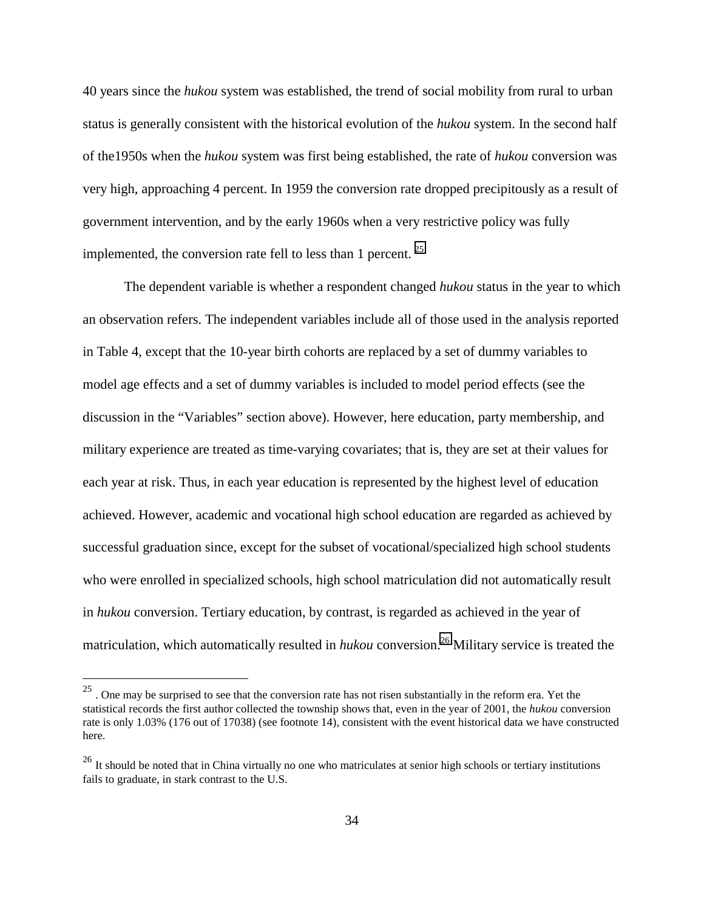40 years since the *hukou* system was established, the trend of social mobility from rural to urban status is generally consistent with the historical evolution of the *hukou* system. In the second half of the1950s when the *hukou* system was first being established, the rate of *hukou* conversion was very high, approaching 4 percent. In 1959 the conversion rate dropped precipitously as a result of government intervention, and by the early 1960s when a very restrictive policy was fully implemented, the conversion rate fell to less than 1 percent.  $2^5$ 

The dependent variable is whether a respondent changed *hukou* status in the year to which an observation refers. The independent variables include all of those used in the analysis reported in Table 4, except that the 10-year birth cohorts are replaced by a set of dummy variables to model age effects and a set of dummy variables is included to model period effects (see the discussion in the "Variables" section above). However, here education, party membership, and military experience are treated as time-varying covariates; that is, they are set at their values for each year at risk. Thus, in each year education is represented by the highest level of education achieved. However, academic and vocational high school education are regarded as achieved by successful graduation since, except for the subset of vocational/specialized high school students who were enrolled in specialized schools, high school matriculation did not automatically result in *hukou* conversion. Tertiary education, by contrast, is regarded as achieved in the year of matriculation, which automatically resulted in *hukou* conversion.<sup>26</sup> Military service is treated the

 $^{25}$  . One may be surprised to see that the conversion rate has not risen substantially in the reform era. Yet the statistical records the first author collected the township shows that, even in the year of 2001, the *hukou* conversion rate is only 1.03% (176 out of 17038) (see footnote 14), consistent with the event historical data we have constructed here.

<sup>&</sup>lt;sup>26</sup> It should be noted that in China virtually no one who matriculates at senior high schools or tertiary institutions fails to graduate, in stark contrast to the U.S.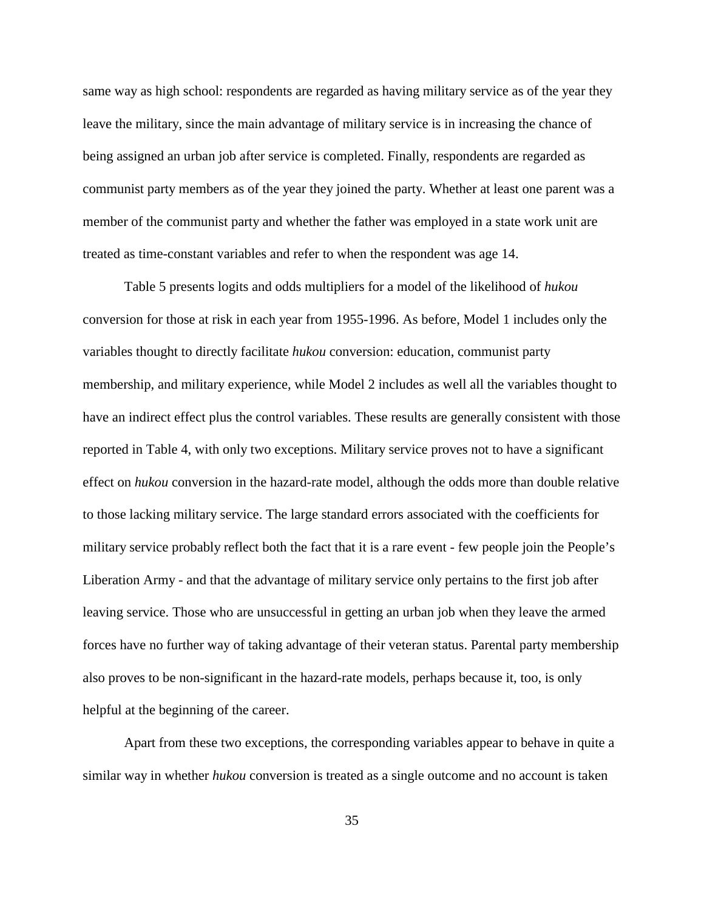same way as high school: respondents are regarded as having military service as of the year they leave the military, since the main advantage of military service is in increasing the chance of being assigned an urban job after service is completed. Finally, respondents are regarded as communist party members as of the year they joined the party. Whether at least one parent was a member of the communist party and whether the father was employed in a state work unit are treated as time-constant variables and refer to when the respondent was age 14.

Table 5 presents logits and odds multipliers for a model of the likelihood of *hukou* conversion for those at risk in each year from 1955-1996. As before, Model 1 includes only the variables thought to directly facilitate *hukou* conversion: education, communist party membership, and military experience, while Model 2 includes as well all the variables thought to have an indirect effect plus the control variables. These results are generally consistent with those reported in Table 4, with only two exceptions. Military service proves not to have a significant effect on *hukou* conversion in the hazard-rate model, although the odds more than double relative to those lacking military service. The large standard errors associated with the coefficients for military service probably reflect both the fact that it is a rare event - few people join the People's Liberation Army - and that the advantage of military service only pertains to the first job after leaving service. Those who are unsuccessful in getting an urban job when they leave the armed forces have no further way of taking advantage of their veteran status. Parental party membership also proves to be non-significant in the hazard-rate models, perhaps because it, too, is only helpful at the beginning of the career.

Apart from these two exceptions, the corresponding variables appear to behave in quite a similar way in whether *hukou* conversion is treated as a single outcome and no account is taken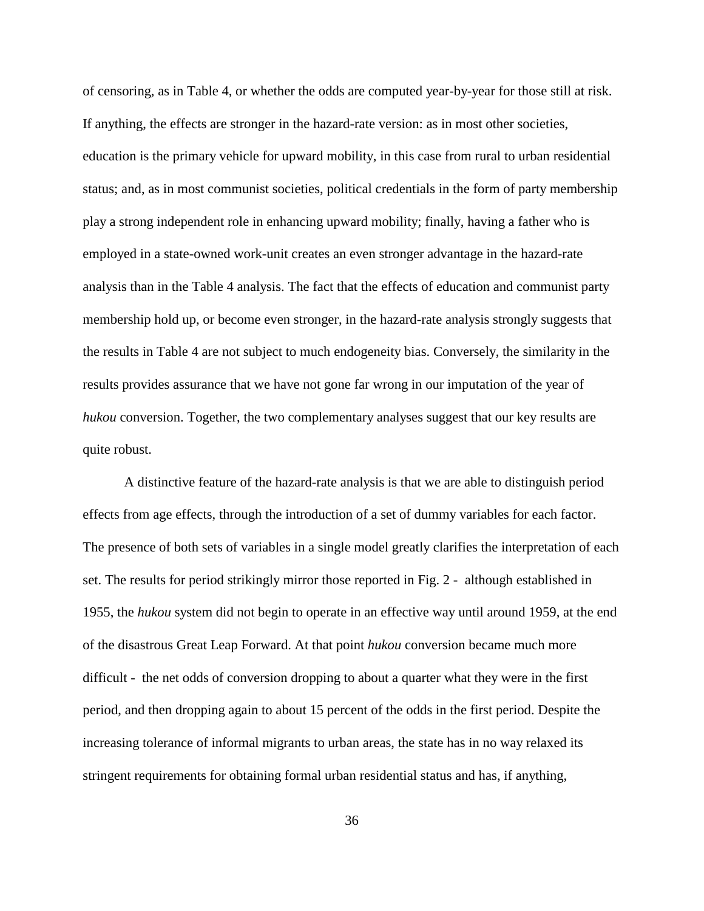of censoring, as in Table 4, or whether the odds are computed year-by-year for those still at risk. If anything, the effects are stronger in the hazard-rate version: as in most other societies, education is the primary vehicle for upward mobility, in this case from rural to urban residential status; and, as in most communist societies, political credentials in the form of party membership play a strong independent role in enhancing upward mobility; finally, having a father who is employed in a state-owned work-unit creates an even stronger advantage in the hazard-rate analysis than in the Table 4 analysis. The fact that the effects of education and communist party membership hold up, or become even stronger, in the hazard-rate analysis strongly suggests that the results in Table 4 are not subject to much endogeneity bias. Conversely, the similarity in the results provides assurance that we have not gone far wrong in our imputation of the year of *hukou* conversion. Together, the two complementary analyses suggest that our key results are quite robust.

A distinctive feature of the hazard-rate analysis is that we are able to distinguish period effects from age effects, through the introduction of a set of dummy variables for each factor. The presence of both sets of variables in a single model greatly clarifies the interpretation of each set. The results for period strikingly mirror those reported in Fig. 2 - although established in 1955, the *hukou* system did not begin to operate in an effective way until around 1959, at the end of the disastrous Great Leap Forward. At that point *hukou* conversion became much more difficult - the net odds of conversion dropping to about a quarter what they were in the first period, and then dropping again to about 15 percent of the odds in the first period. Despite the increasing tolerance of informal migrants to urban areas, the state has in no way relaxed its stringent requirements for obtaining formal urban residential status and has, if anything,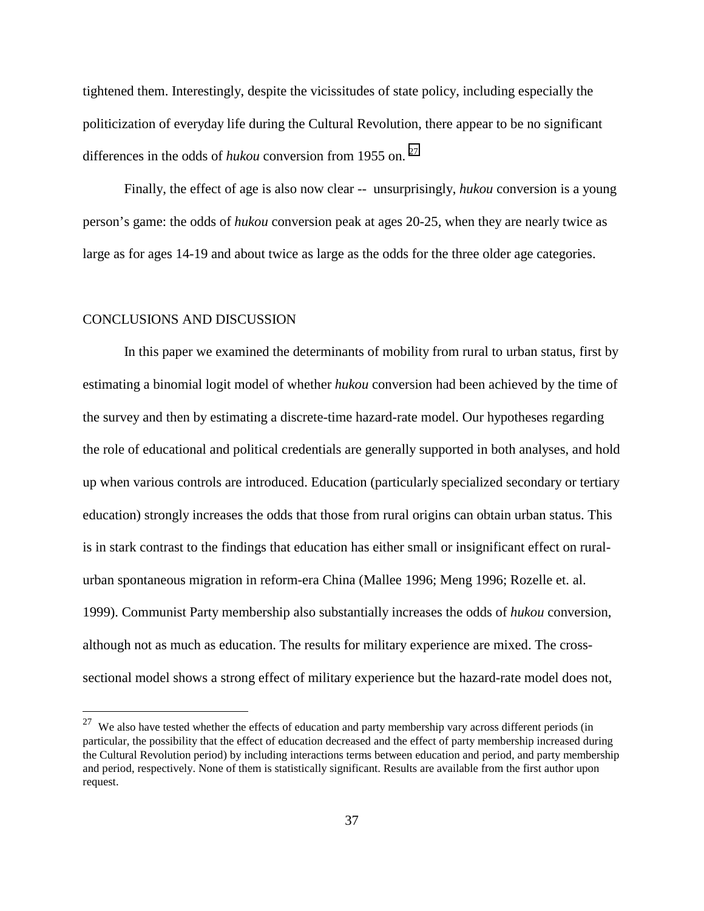tightened them. Interestingly, despite the vicissitudes of state policy, including especially the politicization of everyday life during the Cultural Revolution, there appear to be no significant differences in the odds of *hukou* conversion from 1955 on.<sup>27</sup>

Finally, the effect of age is also now clear -- unsurprisingly, *hukou* conversion is a young person's game: the odds of *hukou* conversion peak at ages 20-25, when they are nearly twice as large as for ages 14-19 and about twice as large as the odds for the three older age categories.

#### CONCLUSIONS AND DISCUSSION

 $\overline{a}$ 

In this paper we examined the determinants of mobility from rural to urban status, first by estimating a binomial logit model of whether *hukou* conversion had been achieved by the time of the survey and then by estimating a discrete-time hazard-rate model. Our hypotheses regarding the role of educational and political credentials are generally supported in both analyses, and hold up when various controls are introduced. Education (particularly specialized secondary or tertiary education) strongly increases the odds that those from rural origins can obtain urban status. This is in stark contrast to the findings that education has either small or insignificant effect on ruralurban spontaneous migration in reform-era China (Mallee 1996; Meng 1996; Rozelle et. al. 1999). Communist Party membership also substantially increases the odds of *hukou* conversion, although not as much as education. The results for military experience are mixed. The crosssectional model shows a strong effect of military experience but the hazard-rate model does not,

 $27$  We also have tested whether the effects of education and party membership vary across different periods (in particular, the possibility that the effect of education decreased and the effect of party membership increased during the Cultural Revolution period) by including interactions terms between education and period, and party membership and period, respectively. None of them is statistically significant. Results are available from the first author upon request.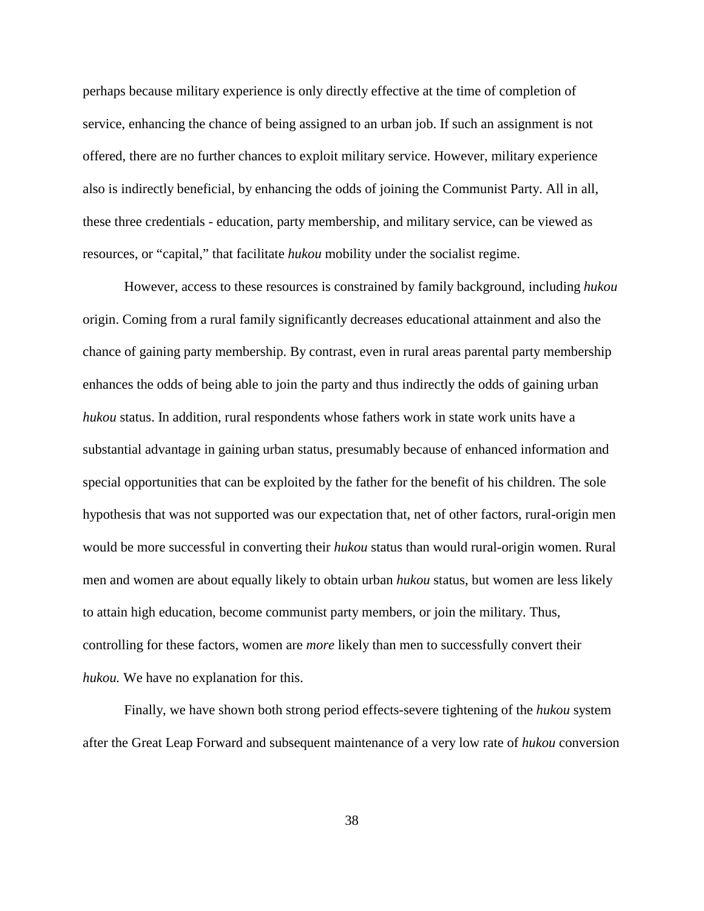perhaps because military experience is only directly effective at the time of completion of service, enhancing the chance of being assigned to an urban job. If such an assignment is not offered, there are no further chances to exploit military service. However, military experience also is indirectly beneficial, by enhancing the odds of joining the Communist Party. All in all, these three credentials - education, party membership, and military service, can be viewed as resources, or "capital," that facilitate *hukou* mobility under the socialist regime.

However, access to these resources is constrained by family background, including *hukou* origin. Coming from a rural family significantly decreases educational attainment and also the chance of gaining party membership. By contrast, even in rural areas parental party membership enhances the odds of being able to join the party and thus indirectly the odds of gaining urban *hukou* status. In addition, rural respondents whose fathers work in state work units have a substantial advantage in gaining urban status, presumably because of enhanced information and special opportunities that can be exploited by the father for the benefit of his children. The sole hypothesis that was not supported was our expectation that, net of other factors, rural-origin men would be more successful in converting their *hukou* status than would rural-origin women. Rural men and women are about equally likely to obtain urban *hukou* status, but women are less likely to attain high education, become communist party members, or join the military. Thus, controlling for these factors, women are *more* likely than men to successfully convert their *hukou.* We have no explanation for this.

Finally, we have shown both strong period effects-severe tightening of the *hukou* system after the Great Leap Forward and subsequent maintenance of a very low rate of *hukou* conversion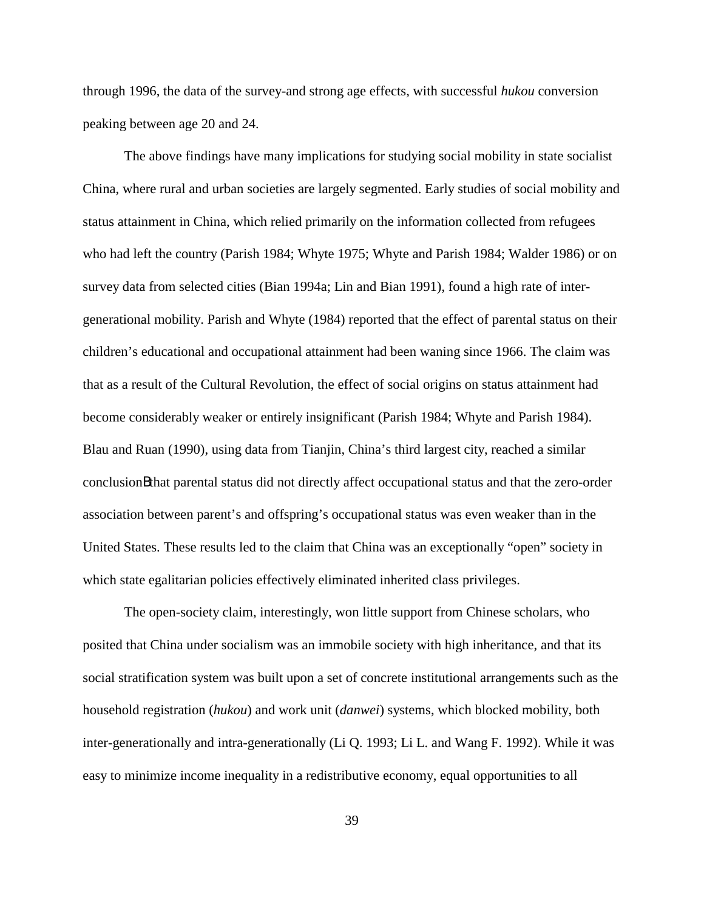through 1996, the data of the survey-and strong age effects, with successful *hukou* conversion peaking between age 20 and 24.

The above findings have many implications for studying social mobility in state socialist China, where rural and urban societies are largely segmented. Early studies of social mobility and status attainment in China, which relied primarily on the information collected from refugees who had left the country (Parish 1984; Whyte 1975; Whyte and Parish 1984; Walder 1986) or on survey data from selected cities (Bian 1994a; Lin and Bian 1991), found a high rate of intergenerational mobility. Parish and Whyte (1984) reported that the effect of parental status on their children's educational and occupational attainment had been waning since 1966. The claim was that as a result of the Cultural Revolution, the effect of social origins on status attainment had become considerably weaker or entirely insignificant (Parish 1984; Whyte and Parish 1984). Blau and Ruan (1990), using data from Tianjin, China's third largest city, reached a similar conclusionBthat parental status did not directly affect occupational status and that the zero-order association between parent's and offspring's occupational status was even weaker than in the United States. These results led to the claim that China was an exceptionally "open" society in which state egalitarian policies effectively eliminated inherited class privileges.

The open-society claim, interestingly, won little support from Chinese scholars, who posited that China under socialism was an immobile society with high inheritance, and that its social stratification system was built upon a set of concrete institutional arrangements such as the household registration (*hukou*) and work unit (*danwei*) systems, which blocked mobility, both inter-generationally and intra-generationally (Li Q. 1993; Li L. and Wang F. 1992). While it was easy to minimize income inequality in a redistributive economy, equal opportunities to all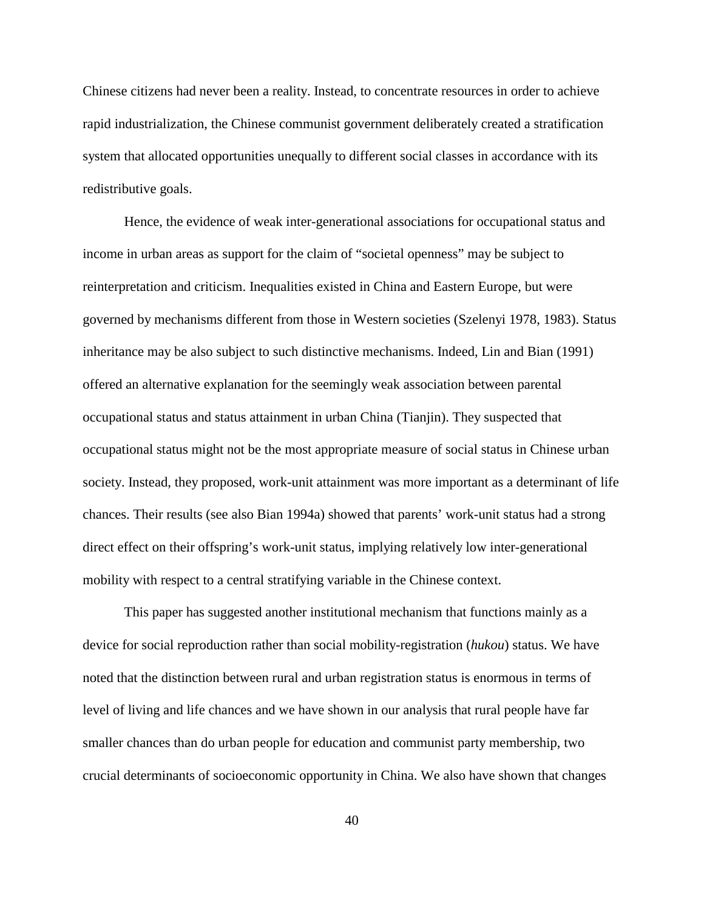Chinese citizens had never been a reality. Instead, to concentrate resources in order to achieve rapid industrialization, the Chinese communist government deliberately created a stratification system that allocated opportunities unequally to different social classes in accordance with its redistributive goals.

Hence, the evidence of weak inter-generational associations for occupational status and income in urban areas as support for the claim of "societal openness" may be subject to reinterpretation and criticism. Inequalities existed in China and Eastern Europe, but were governed by mechanisms different from those in Western societies (Szelenyi 1978, 1983). Status inheritance may be also subject to such distinctive mechanisms. Indeed, Lin and Bian (1991) offered an alternative explanation for the seemingly weak association between parental occupational status and status attainment in urban China (Tianjin). They suspected that occupational status might not be the most appropriate measure of social status in Chinese urban society. Instead, they proposed, work-unit attainment was more important as a determinant of life chances. Their results (see also Bian 1994a) showed that parents' work-unit status had a strong direct effect on their offspring's work-unit status, implying relatively low inter-generational mobility with respect to a central stratifying variable in the Chinese context.

This paper has suggested another institutional mechanism that functions mainly as a device for social reproduction rather than social mobility-registration (*hukou*) status. We have noted that the distinction between rural and urban registration status is enormous in terms of level of living and life chances and we have shown in our analysis that rural people have far smaller chances than do urban people for education and communist party membership, two crucial determinants of socioeconomic opportunity in China. We also have shown that changes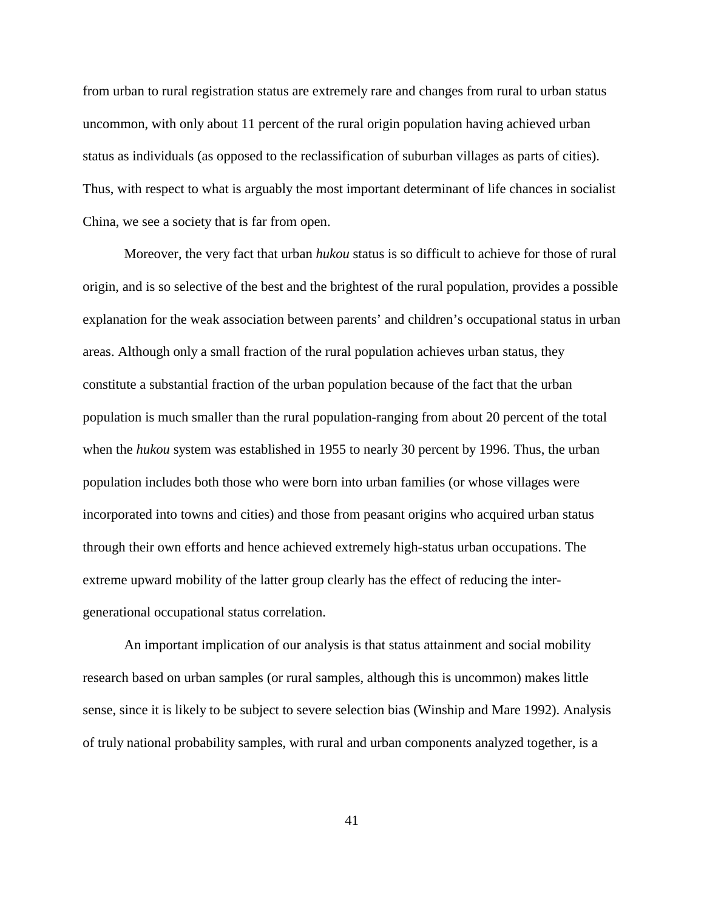from urban to rural registration status are extremely rare and changes from rural to urban status uncommon, with only about 11 percent of the rural origin population having achieved urban status as individuals (as opposed to the reclassification of suburban villages as parts of cities). Thus, with respect to what is arguably the most important determinant of life chances in socialist China, we see a society that is far from open.

Moreover, the very fact that urban *hukou* status is so difficult to achieve for those of rural origin, and is so selective of the best and the brightest of the rural population, provides a possible explanation for the weak association between parents' and children's occupational status in urban areas. Although only a small fraction of the rural population achieves urban status, they constitute a substantial fraction of the urban population because of the fact that the urban population is much smaller than the rural population-ranging from about 20 percent of the total when the *hukou* system was established in 1955 to nearly 30 percent by 1996. Thus, the urban population includes both those who were born into urban families (or whose villages were incorporated into towns and cities) and those from peasant origins who acquired urban status through their own efforts and hence achieved extremely high-status urban occupations. The extreme upward mobility of the latter group clearly has the effect of reducing the intergenerational occupational status correlation.

An important implication of our analysis is that status attainment and social mobility research based on urban samples (or rural samples, although this is uncommon) makes little sense, since it is likely to be subject to severe selection bias (Winship and Mare 1992). Analysis of truly national probability samples, with rural and urban components analyzed together, is a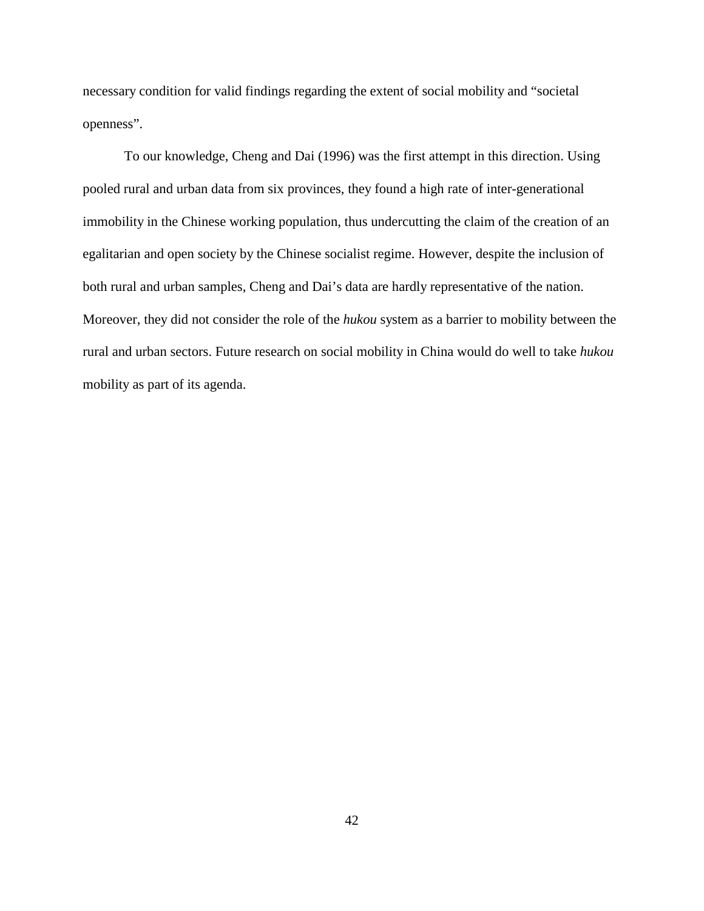necessary condition for valid findings regarding the extent of social mobility and "societal openness".

To our knowledge, Cheng and Dai (1996) was the first attempt in this direction. Using pooled rural and urban data from six provinces, they found a high rate of inter-generational immobility in the Chinese working population, thus undercutting the claim of the creation of an egalitarian and open society by the Chinese socialist regime. However, despite the inclusion of both rural and urban samples, Cheng and Dai's data are hardly representative of the nation. Moreover, they did not consider the role of the *hukou* system as a barrier to mobility between the rural and urban sectors. Future research on social mobility in China would do well to take *hukou* mobility as part of its agenda.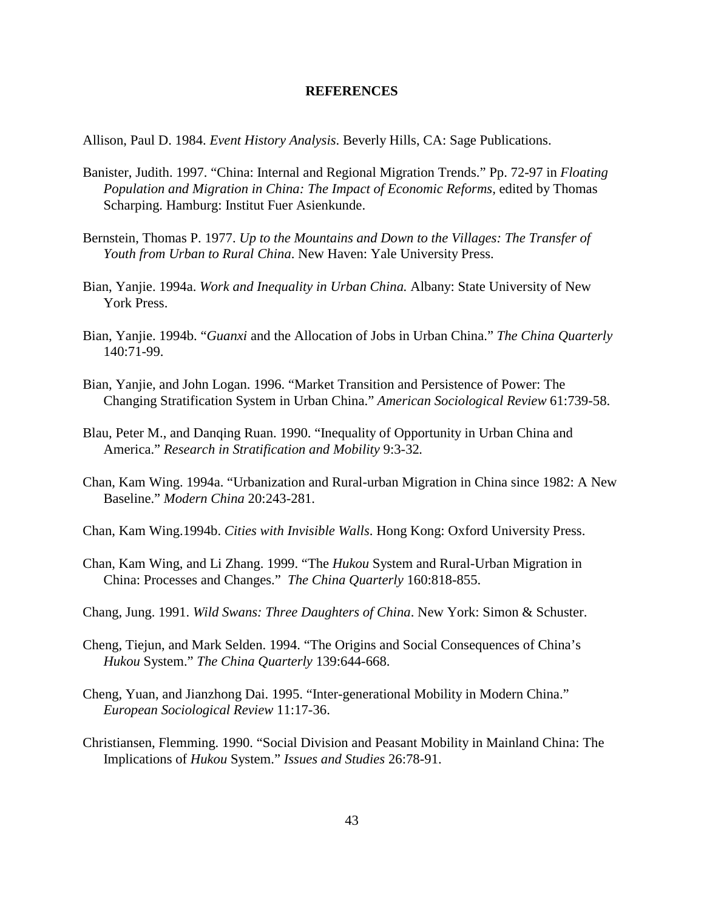#### **REFERENCES**

Allison, Paul D. 1984. *Event History Analysis*. Beverly Hills, CA: Sage Publications.

- Banister, Judith. 1997. "China: Internal and Regional Migration Trends." Pp. 72-97 in *Floating Population and Migration in China: The Impact of Economic Reforms,* edited by Thomas Scharping. Hamburg: Institut Fuer Asienkunde.
- Bernstein, Thomas P. 1977. *Up to the Mountains and Down to the Villages: The Transfer of Youth from Urban to Rural China*. New Haven: Yale University Press.
- Bian, Yanjie. 1994a. *Work and Inequality in Urban China.* Albany: State University of New York Press.
- Bian, Yanjie. 1994b. "*Guanxi* and the Allocation of Jobs in Urban China." *The China Quarterly* 140:71-99.
- Bian, Yanjie, and John Logan. 1996. "Market Transition and Persistence of Power: The Changing Stratification System in Urban China." *American Sociological Review* 61:739-58.
- Blau, Peter M., and Danqing Ruan. 1990. "Inequality of Opportunity in Urban China and America." *Research in Stratification and Mobility* 9:3-32*.*
- Chan, Kam Wing. 1994a. "Urbanization and Rural-urban Migration in China since 1982: A New Baseline." *Modern China* 20:243-281.
- Chan, Kam Wing.1994b. *Cities with Invisible Walls*. Hong Kong: Oxford University Press.
- Chan, Kam Wing, and Li Zhang. 1999. "The *Hukou* System and Rural-Urban Migration in China: Processes and Changes." *The China Quarterly* 160:818-855.
- Chang, Jung. 1991. *Wild Swans: Three Daughters of China*. New York: Simon & Schuster.
- Cheng, Tiejun, and Mark Selden. 1994. "The Origins and Social Consequences of China's *Hukou* System." *The China Quarterly* 139:644-668.
- Cheng, Yuan, and Jianzhong Dai. 1995. "Inter-generational Mobility in Modern China." *European Sociological Review* 11:17-36.
- Christiansen, Flemming. 1990. "Social Division and Peasant Mobility in Mainland China: The Implications of *Hukou* System." *Issues and Studies* 26:78-91.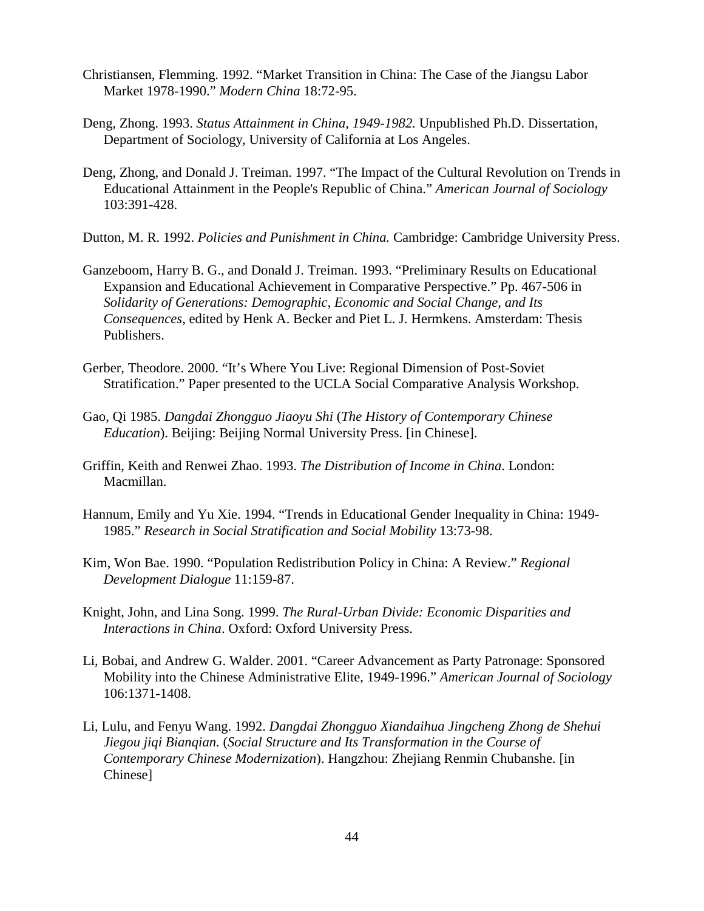- Christiansen, Flemming. 1992. "Market Transition in China: The Case of the Jiangsu Labor Market 1978-1990." *Modern China* 18:72-95.
- Deng, Zhong. 1993. *Status Attainment in China, 1949-1982.* Unpublished Ph.D. Dissertation, Department of Sociology, University of California at Los Angeles.
- Deng, Zhong, and Donald J. Treiman. 1997. "The Impact of the Cultural Revolution on Trends in Educational Attainment in the People's Republic of China." *American Journal of Sociology* 103:391-428.
- Dutton, M. R. 1992. *Policies and Punishment in China.* Cambridge: Cambridge University Press.
- Ganzeboom, Harry B. G., and Donald J. Treiman. 1993. "Preliminary Results on Educational Expansion and Educational Achievement in Comparative Perspective." Pp. 467-506 in *Solidarity of Generations: Demographic, Economic and Social Change, and Its Consequences*, edited by Henk A. Becker and Piet L. J. Hermkens. Amsterdam: Thesis Publishers.
- Gerber, Theodore. 2000. "It's Where You Live: Regional Dimension of Post-Soviet Stratification." Paper presented to the UCLA Social Comparative Analysis Workshop.
- Gao, Qi 1985. *Dangdai Zhongguo Jiaoyu Shi* (*The History of Contemporary Chinese Education*). Beijing: Beijing Normal University Press. [in Chinese].
- Griffin, Keith and Renwei Zhao. 1993. *The Distribution of Income in China*. London: Macmillan.
- Hannum, Emily and Yu Xie. 1994. "Trends in Educational Gender Inequality in China: 1949- 1985." *Research in Social Stratification and Social Mobility* 13:73-98.
- Kim, Won Bae. 1990. "Population Redistribution Policy in China: A Review." *Regional Development Dialogue* 11:159-87.
- Knight, John, and Lina Song. 1999. *The Rural-Urban Divide: Economic Disparities and Interactions in China*. Oxford: Oxford University Press.
- Li, Bobai, and Andrew G. Walder. 2001. "Career Advancement as Party Patronage: Sponsored Mobility into the Chinese Administrative Elite, 1949-1996." *American Journal of Sociology* 106:1371-1408.
- Li, Lulu, and Fenyu Wang. 1992. *Dangdai Zhongguo Xiandaihua Jingcheng Zhong de Shehui Jiegou jiqi Bianqian.* (*Social Structure and Its Transformation in the Course of Contemporary Chinese Modernization*). Hangzhou: Zhejiang Renmin Chubanshe. [in Chinese]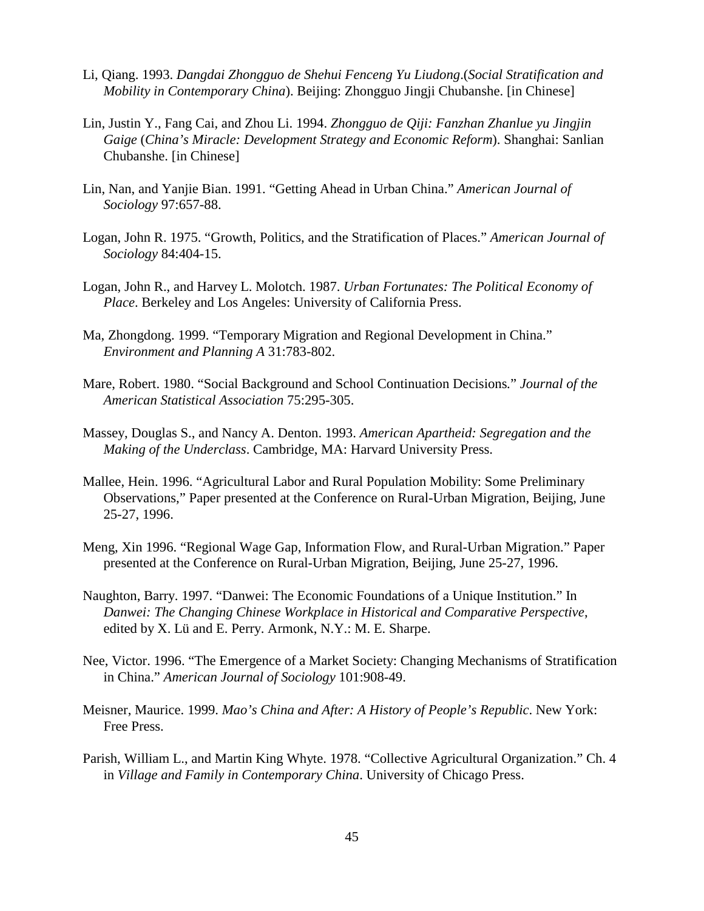- Li, Qiang. 1993. *Dangdai Zhongguo de Shehui Fenceng Yu Liudong*.(*Social Stratification and Mobility in Contemporary China*). Beijing: Zhongguo Jingji Chubanshe. [in Chinese]
- Lin, Justin Y., Fang Cai, and Zhou Li. 1994. *Zhongguo de Qiji: Fanzhan Zhanlue yu Jingjin Gaige* (*China's Miracle: Development Strategy and Economic Reform*). Shanghai: Sanlian Chubanshe. [in Chinese]
- Lin, Nan, and Yanjie Bian. 1991. "Getting Ahead in Urban China." *American Journal of Sociology* 97:657-88.
- Logan, John R. 1975. "Growth, Politics, and the Stratification of Places." *American Journal of Sociology* 84:404-15.
- Logan, John R., and Harvey L. Molotch. 1987. *Urban Fortunates: The Political Economy of Place*. Berkeley and Los Angeles: University of California Press.
- Ma, Zhongdong. 1999. "Temporary Migration and Regional Development in China." *Environment and Planning A* 31:783-802.
- Mare, Robert. 1980. "Social Background and School Continuation Decisions*.*" *Journal of the American Statistical Association* 75:295-305.
- Massey, Douglas S., and Nancy A. Denton. 1993. *American Apartheid: Segregation and the Making of the Underclass*. Cambridge, MA: Harvard University Press.
- Mallee, Hein. 1996. "Agricultural Labor and Rural Population Mobility: Some Preliminary Observations," Paper presented at the Conference on Rural-Urban Migration, Beijing, June 25-27, 1996.
- Meng, Xin 1996. "Regional Wage Gap, Information Flow, and Rural-Urban Migration." Paper presented at the Conference on Rural-Urban Migration, Beijing, June 25-27, 1996.
- Naughton, Barry. 1997. "Danwei: The Economic Foundations of a Unique Institution." In *Danwei: The Changing Chinese Workplace in Historical and Comparative Perspective*, edited by X. Lü and E. Perry. Armonk, N.Y.: M. E. Sharpe.
- Nee, Victor. 1996. "The Emergence of a Market Society: Changing Mechanisms of Stratification in China." *American Journal of Sociology* 101:908-49.
- Meisner, Maurice. 1999. *Mao's China and After: A History of People's Republic*. New York: Free Press.
- Parish, William L., and Martin King Whyte. 1978. "Collective Agricultural Organization." Ch. 4 in *Village and Family in Contemporary China*. University of Chicago Press.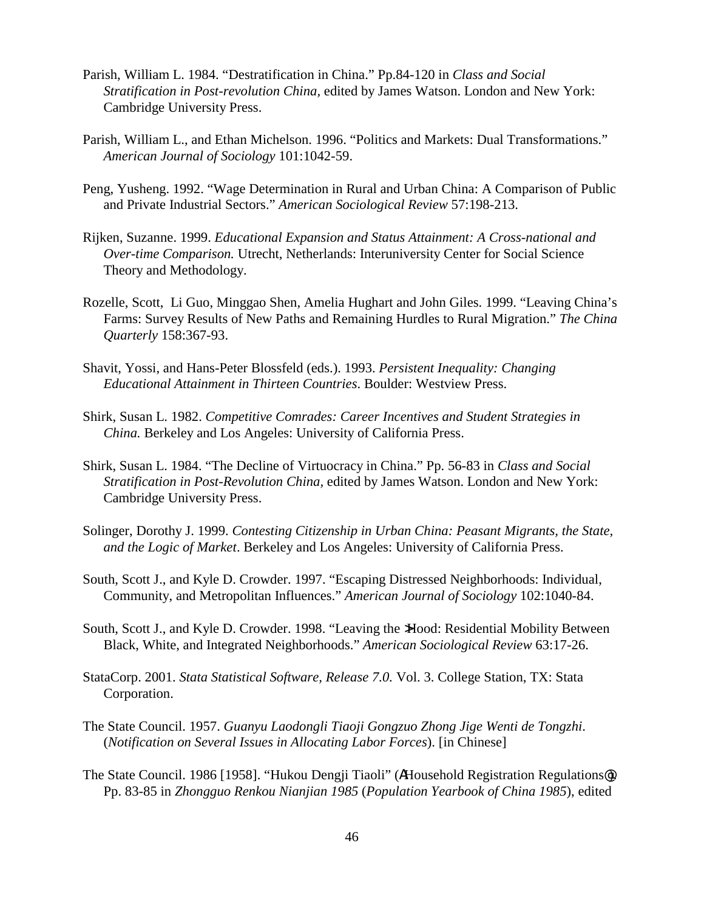- Parish, William L. 1984. "Destratification in China." Pp.84-120 in *Class and Social Stratification in Post-revolution China,* edited by James Watson. London and New York: Cambridge University Press.
- Parish, William L., and Ethan Michelson. 1996. "Politics and Markets: Dual Transformations." *American Journal of Sociology* 101:1042-59.
- Peng, Yusheng. 1992. "Wage Determination in Rural and Urban China: A Comparison of Public and Private Industrial Sectors." *American Sociological Review* 57:198-213.
- Rijken, Suzanne. 1999. *Educational Expansion and Status Attainment: A Cross-national and Over-time Comparison.* Utrecht, Netherlands: Interuniversity Center for Social Science Theory and Methodology.
- Rozelle, Scott, Li Guo, Minggao Shen, Amelia Hughart and John Giles. 1999. "Leaving China's Farms: Survey Results of New Paths and Remaining Hurdles to Rural Migration." *The China Quarterly* 158:367-93.
- Shavit, Yossi, and Hans-Peter Blossfeld (eds.). 1993. *Persistent Inequality: Changing Educational Attainment in Thirteen Countries*. Boulder: Westview Press.
- Shirk, Susan L. 1982. *Competitive Comrades: Career Incentives and Student Strategies in China.* Berkeley and Los Angeles: University of California Press.
- Shirk, Susan L. 1984. "The Decline of Virtuocracy in China." Pp. 56-83 in *Class and Social Stratification in Post-Revolution China,* edited by James Watson. London and New York: Cambridge University Press.
- Solinger, Dorothy J. 1999. *Contesting Citizenship in Urban China: Peasant Migrants, the State, and the Logic of Market*. Berkeley and Los Angeles: University of California Press.
- South, Scott J., and Kyle D. Crowder. 1997. "Escaping Distressed Neighborhoods: Individual, Community, and Metropolitan Influences." *American Journal of Sociology* 102:1040-84.
- South, Scott J., and Kyle D. Crowder. 1998. "Leaving the >Hood: Residential Mobility Between Black, White, and Integrated Neighborhoods." *American Sociological Review* 63:17-26.
- StataCorp. 2001. *Stata Statistical Software, Release 7.0.* Vol. 3. College Station, TX: Stata Corporation.
- The State Council. 1957. *Guanyu Laodongli Tiaoji Gongzuo Zhong Jige Wenti de Tongzhi*. (*Notification on Several Issues in Allocating Labor Forces*). [in Chinese]
- The State Council. 1986 [1958]. "Hukou Dengji Tiaoli" (AHousehold Registration Regulations@). Pp. 83-85 in *Zhongguo Renkou Nianjian 1985* (*Population Yearbook of China 1985*), edited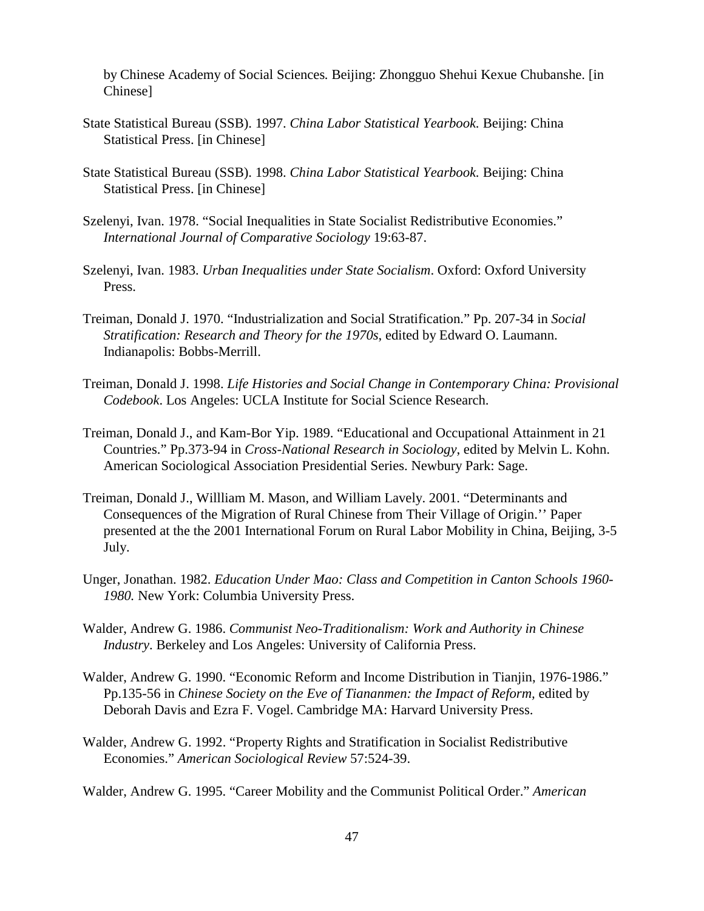by Chinese Academy of Social Sciences*.* Beijing: Zhongguo Shehui Kexue Chubanshe. [in Chinese]

- State Statistical Bureau (SSB). 1997. *China Labor Statistical Yearbook.* Beijing: China Statistical Press. [in Chinese]
- State Statistical Bureau (SSB). 1998. *China Labor Statistical Yearbook.* Beijing: China Statistical Press. [in Chinese]
- Szelenyi, Ivan. 1978. "Social Inequalities in State Socialist Redistributive Economies." *International Journal of Comparative Sociology* 19:63-87.
- Szelenyi, Ivan. 1983. *Urban Inequalities under State Socialism*. Oxford: Oxford University Press.
- Treiman, Donald J. 1970. "Industrialization and Social Stratification." Pp. 207-34 in *Social Stratification: Research and Theory for the 1970s*, edited by Edward O. Laumann. Indianapolis: Bobbs-Merrill.
- Treiman, Donald J. 1998. *Life Histories and Social Change in Contemporary China: Provisional Codebook*. Los Angeles: UCLA Institute for Social Science Research.
- Treiman, Donald J., and Kam-Bor Yip. 1989. "Educational and Occupational Attainment in 21 Countries." Pp.373-94 in *Cross-National Research in Sociology*, edited by Melvin L. Kohn. American Sociological Association Presidential Series. Newbury Park: Sage.
- Treiman, Donald J., Willliam M. Mason, and William Lavely. 2001. "Determinants and Consequences of the Migration of Rural Chinese from Their Village of Origin.'' Paper presented at the the 2001 International Forum on Rural Labor Mobility in China, Beijing, 3-5 July.
- Unger, Jonathan. 1982. *Education Under Mao: Class and Competition in Canton Schools 1960- 1980.* New York: Columbia University Press.
- Walder, Andrew G. 1986. *Communist Neo-Traditionalism: Work and Authority in Chinese Industry*. Berkeley and Los Angeles: University of California Press.
- Walder, Andrew G. 1990. "Economic Reform and Income Distribution in Tianjin, 1976-1986." Pp.135-56 in *Chinese Society on the Eve of Tiananmen: the Impact of Reform,* edited by Deborah Davis and Ezra F. Vogel. Cambridge MA: Harvard University Press.
- Walder, Andrew G. 1992. "Property Rights and Stratification in Socialist Redistributive Economies." *American Sociological Review* 57:524-39.
- Walder, Andrew G. 1995. "Career Mobility and the Communist Political Order." *American*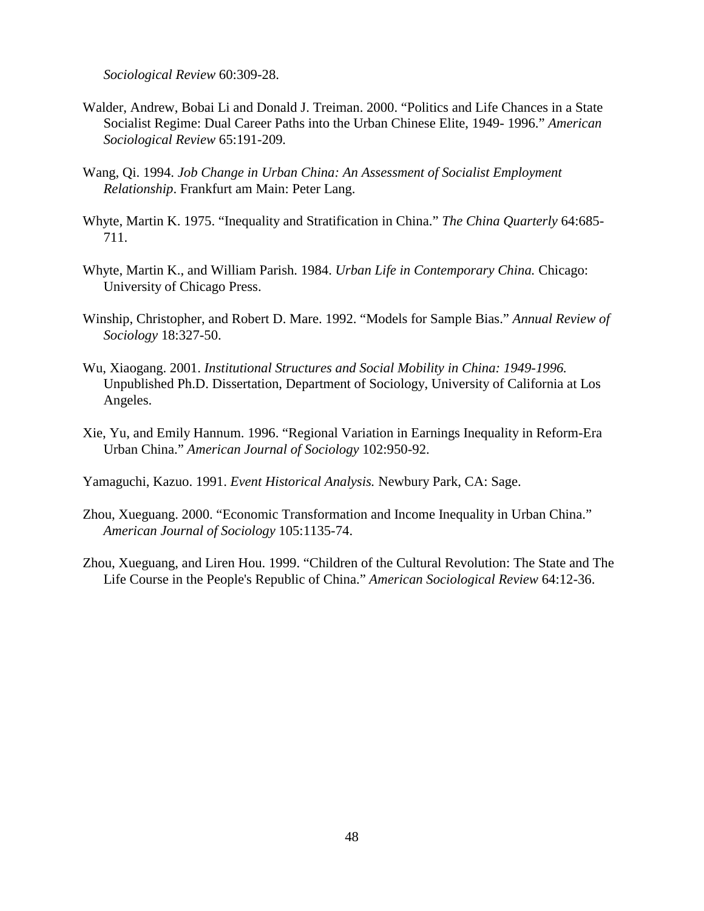*Sociological Review* 60:309-28.

- Walder, Andrew, Bobai Li and Donald J. Treiman. 2000. "Politics and Life Chances in a State Socialist Regime: Dual Career Paths into the Urban Chinese Elite, 1949- 1996." *American Sociological Review* 65:191-209*.*
- Wang, Qi. 1994. *Job Change in Urban China: An Assessment of Socialist Employment Relationship*. Frankfurt am Main: Peter Lang.
- Whyte, Martin K. 1975. "Inequality and Stratification in China." *The China Quarterly* 64:685- 711.
- Whyte, Martin K., and William Parish. 1984. *Urban Life in Contemporary China.* Chicago: University of Chicago Press.
- Winship, Christopher, and Robert D. Mare. 1992. "Models for Sample Bias." *Annual Review of Sociology* 18:327-50.
- Wu, Xiaogang. 2001. *Institutional Structures and Social Mobility in China: 1949-1996.* Unpublished Ph.D. Dissertation, Department of Sociology, University of California at Los Angeles.
- Xie, Yu, and Emily Hannum. 1996. "Regional Variation in Earnings Inequality in Reform-Era Urban China." *American Journal of Sociology* 102:950-92.

Yamaguchi, Kazuo. 1991. *Event Historical Analysis.* Newbury Park, CA: Sage.

- Zhou, Xueguang. 2000. "Economic Transformation and Income Inequality in Urban China." *American Journal of Sociology* 105:1135-74.
- Zhou, Xueguang, and Liren Hou. 1999. "Children of the Cultural Revolution: The State and The Life Course in the People's Republic of China." *American Sociological Review* 64:12-36.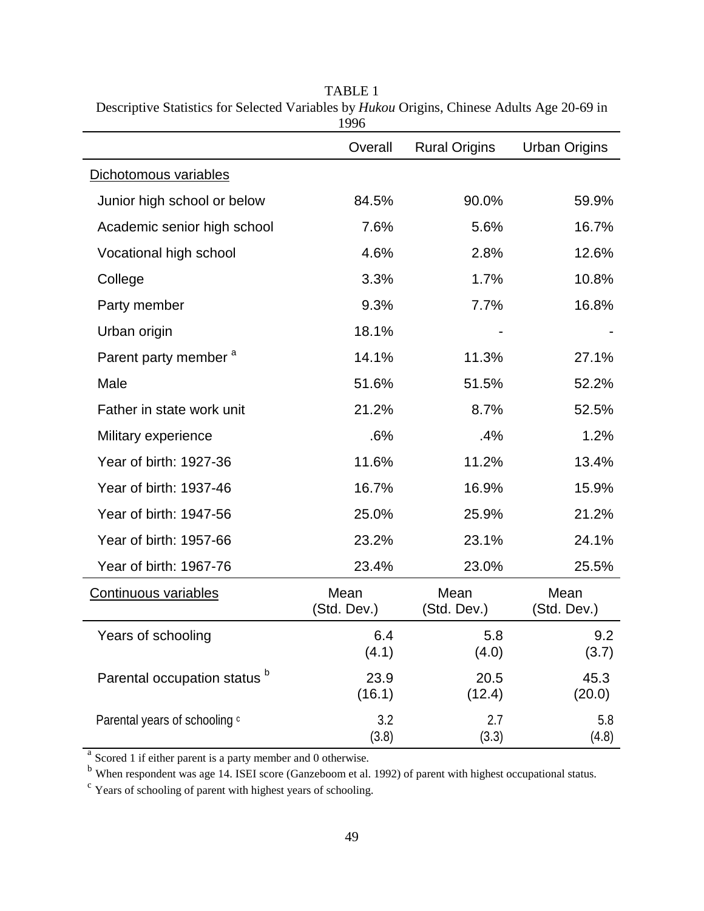|                                         | Overall             | <b>Rural Origins</b> | <b>Urban Origins</b> |
|-----------------------------------------|---------------------|----------------------|----------------------|
| Dichotomous variables                   |                     |                      |                      |
| Junior high school or below             | 84.5%               | 90.0%                | 59.9%                |
| Academic senior high school             | 7.6%                | 5.6%                 | 16.7%                |
| Vocational high school                  | 4.6%                | 2.8%                 | 12.6%                |
| College                                 | 3.3%                | 1.7%                 | 10.8%                |
| Party member                            | 9.3%                | 7.7%                 | 16.8%                |
| Urban origin                            | 18.1%               |                      |                      |
| Parent party member <sup>a</sup>        | 14.1%               | 11.3%                | 27.1%                |
| Male                                    | 51.6%               | 51.5%                | 52.2%                |
| Father in state work unit               | 21.2%               | 8.7%                 | 52.5%                |
| Military experience                     | .6%                 | .4%                  | 1.2%                 |
| Year of birth: 1927-36                  | 11.6%               | 11.2%                | 13.4%                |
| Year of birth: 1937-46                  | 16.7%               | 16.9%                | 15.9%                |
| Year of birth: 1947-56                  | 25.0%               | 25.9%                | 21.2%                |
| Year of birth: 1957-66                  | 23.2%               | 23.1%                | 24.1%                |
| Year of birth: 1967-76                  | 23.4%               | 23.0%                | 25.5%                |
| Continuous variables                    | Mean<br>(Std. Dev.) | Mean<br>(Std. Dev.)  | Mean<br>(Std. Dev.)  |
| Years of schooling                      | 6.4<br>(4.1)        | 5.8<br>(4.0)         | 9.2<br>(3.7)         |
| Parental occupation status <sup>b</sup> | 23.9<br>(16.1)      | 20.5<br>(12.4)       | 45.3<br>(20.0)       |
| Parental years of schooling c           | 3.2<br>(3.8)        | 2.7<br>(3.3)         | 5.8<br>(4.8)         |

TABLE 1 Descriptive Statistics for Selected Variables by *Hukou* Origins, Chinese Adults Age 20-69 in 1996

<sup>a</sup> Scored 1 if either parent is a party member and 0 otherwise.

<sup>b</sup> When respondent was age 14. ISEI score (Ganzeboom et al. 1992) of parent with highest occupational status. <sup>c</sup> Years of schooling of parent with highest years of schooling.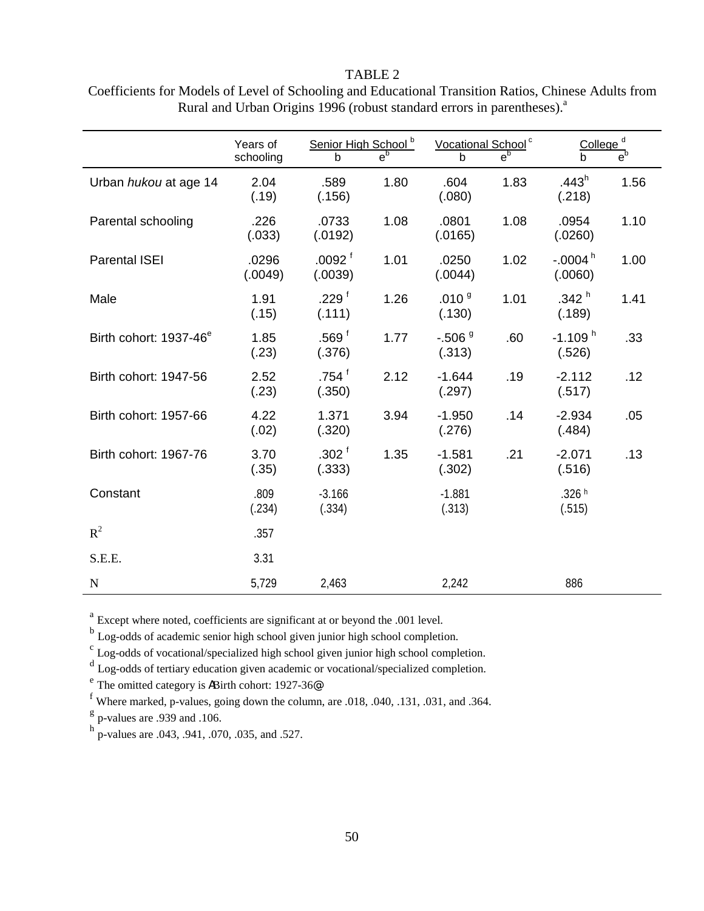#### TABLE 2

|                                    | Years of<br>schooling | Senior High School <sup>b</sup><br>$\mathsf{h}$ | $e_{\rho}$ | Vocational School <sup>c</sup><br>b | $e_{\rho}$ | College <sup>d</sup><br>$\mathbf b$ | e <sup>b</sup> |
|------------------------------------|-----------------------|-------------------------------------------------|------------|-------------------------------------|------------|-------------------------------------|----------------|
| Urban hukou at age 14              | 2.04<br>(.19)         | .589<br>(.156)                                  | 1.80       | .604<br>(.080)                      | 1.83       | .443 <sup>h</sup><br>(.218)         | 1.56           |
| Parental schooling                 | .226<br>(.033)        | .0733<br>(.0192)                                | 1.08       | .0801<br>(.0165)                    | 1.08       | .0954<br>(.0260)                    | 1.10           |
| <b>Parental ISEI</b>               | .0296<br>(.0049)      | .0092 <sup>†</sup><br>(.0039)                   | 1.01       | .0250<br>(.0044)                    | 1.02       | $-0.004$ <sup>h</sup><br>(.0060)    | 1.00           |
| Male                               | 1.91<br>(.15)         | .229 <sup>†</sup><br>(.111)                     | 1.26       | .010 <sup>9</sup><br>(.130)         | 1.01       | .342 <sup>h</sup><br>(.189)         | 1.41           |
| Birth cohort: 1937-46 <sup>e</sup> | 1.85<br>(.23)         | .569 <sup>†</sup><br>(.376)                     | 1.77       | $-.5069$<br>(.313)                  | .60        | $-1.109h$<br>(.526)                 | .33            |
| Birth cohort: 1947-56              | 2.52<br>(.23)         | .754 $†$<br>(.350)                              | 2.12       | $-1.644$<br>(.297)                  | .19        | $-2.112$<br>(.517)                  | .12            |
| Birth cohort: 1957-66              | 4.22<br>(.02)         | 1.371<br>(.320)                                 | 3.94       | $-1.950$<br>(.276)                  | .14        | $-2.934$<br>(.484)                  | .05            |
| Birth cohort: 1967-76              | 3.70<br>(.35)         | .302 <sup>†</sup><br>(.333)                     | 1.35       | $-1.581$<br>(.302)                  | .21        | $-2.071$<br>(.516)                  | .13            |
| Constant                           | .809<br>(.234)        | $-3.166$<br>(.334)                              |            | $-1.881$<br>(.313)                  |            | .326 h<br>(.515)                    |                |
| $R^2$                              | .357                  |                                                 |            |                                     |            |                                     |                |
| S.E.E.                             | 3.31                  |                                                 |            |                                     |            |                                     |                |
| ${\bf N}$                          | 5,729                 | 2,463                                           |            | 2,242                               |            | 886                                 |                |

Coefficients for Models of Level of Schooling and Educational Transition Ratios, Chinese Adults from Rural and Urban Origins 1996 (robust standard errors in parentheses).<sup>a</sup>

<sup>a</sup> Except where noted, coefficients are significant at or beyond the .001 level.

<sup>b</sup> Log-odds of academic senior high school given junior high school completion.

<sup>c</sup> Log-odds of vocational/specialized high school given junior high school completion.

<sup>d</sup> Log-odds of tertiary education given academic or vocational/specialized completion.

<sup>e</sup> The omitted category is ABirth cohort: 1927-36<sup>@</sup>.

<sup>f</sup> Where marked, p-values, going down the column, are .018, .040, .131, .031, and .364.

 $g$  p-values are .939 and .106.

 $h_{\rm p-values}$  p-values are .043, .941, .070, .035, and .527.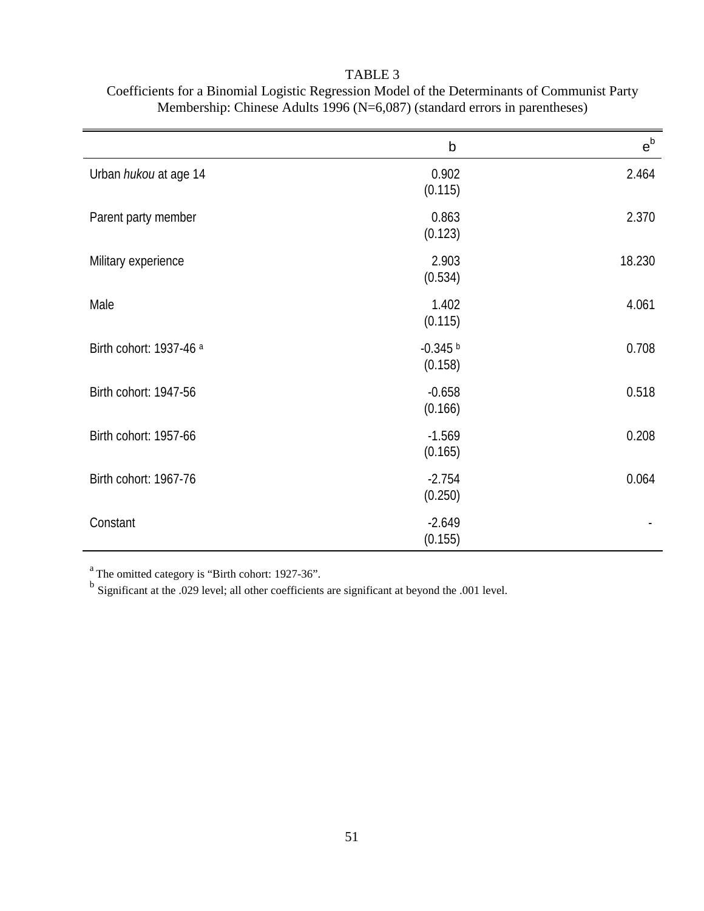|                         | $\mathsf b$           | $e^{b}$ |
|-------------------------|-----------------------|---------|
| Urban hukou at age 14   | 0.902<br>(0.115)      | 2.464   |
| Parent party member     | 0.863<br>(0.123)      | 2.370   |
| Military experience     | 2.903<br>(0.534)      | 18.230  |
| Male                    | 1.402<br>(0.115)      | 4.061   |
| Birth cohort: 1937-46 a | $-0.345$ b<br>(0.158) | 0.708   |
| Birth cohort: 1947-56   | $-0.658$<br>(0.166)   | 0.518   |
| Birth cohort: 1957-66   | $-1.569$<br>(0.165)   | 0.208   |
| Birth cohort: 1967-76   | $-2.754$<br>(0.250)   | 0.064   |
| Constant                | $-2.649$<br>(0.155)   |         |

TABLE 3 Coefficients for a Binomial Logistic Regression Model of the Determinants of Communist Party Membership: Chinese Adults 1996 (N=6,087) (standard errors in parentheses)

<sup>a</sup> The omitted category is "Birth cohort: 1927-36".

<sup>b</sup> Significant at the .029 level; all other coefficients are significant at beyond the .001 level.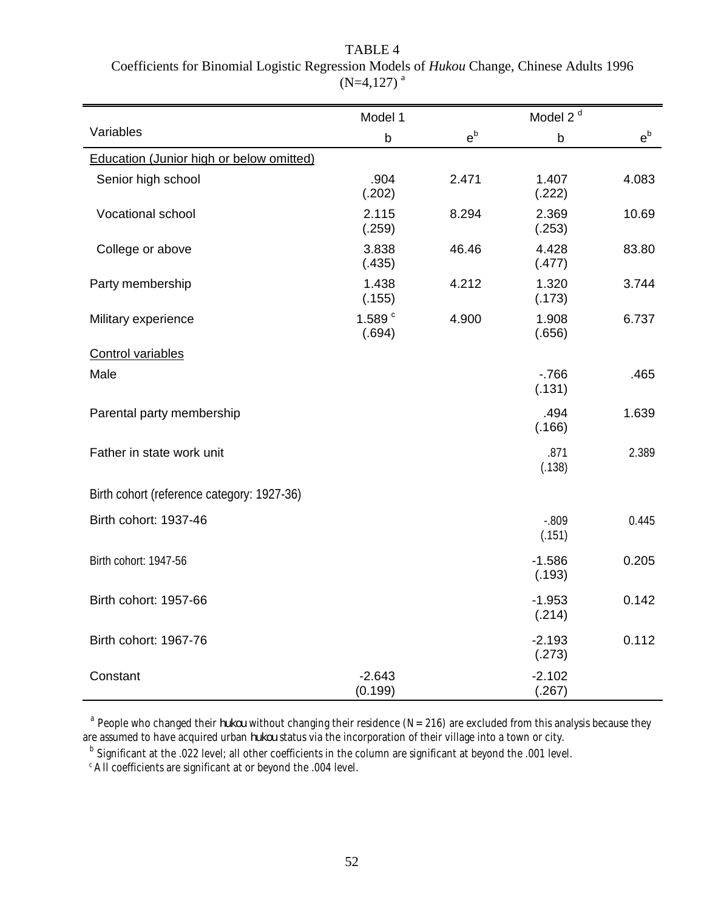|                                                 | Model 1             |         | Model 2 <sup>d</sup> |         |
|-------------------------------------------------|---------------------|---------|----------------------|---------|
| Variables                                       | $\mathsf b$         | $e^{b}$ | $\mathsf b$          | $e^{b}$ |
| <b>Education (Junior high or below omitted)</b> |                     |         |                      |         |
| Senior high school                              | .904<br>(.202)      | 2.471   | 1.407<br>(.222)      | 4.083   |
| Vocational school                               | 2.115<br>(.259)     | 8.294   | 2.369<br>(.253)      | 10.69   |
| College or above                                | 3.838<br>(.435)     | 46.46   | 4.428<br>(.477)      | 83.80   |
| Party membership                                | 1.438<br>(.155)     | 4.212   | 1.320<br>(.173)      | 3.744   |
| Military experience                             | 1.589 $c$<br>(.694) | 4.900   | 1.908<br>(.656)      | 6.737   |
| Control variables                               |                     |         |                      |         |
| Male                                            |                     |         | $-766$<br>(.131)     | .465    |
| Parental party membership                       |                     |         | .494<br>(.166)       | 1.639   |
| Father in state work unit                       |                     |         | .871<br>(.138)       | 2.389   |
| Birth cohort (reference category: 1927-36)      |                     |         |                      |         |
| Birth cohort: 1937-46                           |                     |         | $-.809$<br>(.151)    | 0.445   |
| Birth cohort: 1947-56                           |                     |         | $-1.586$<br>(.193)   | 0.205   |
| Birth cohort: 1957-66                           |                     |         | $-1.953$<br>(.214)   | 0.142   |
| Birth cohort: 1967-76                           |                     |         | $-2.193$<br>(.273)   | 0.112   |
| Constant                                        | $-2.643$<br>(0.199) |         | $-2.102$<br>(.267)   |         |

TABLE 4 Coefficients for Binomial Logistic Regression Models of *Hukou* Change, Chinese Adults 1996  $(N=4,127)^{a}$ 

<sup>a</sup> People who changed their *hukou* without changing their residence (N=216) are excluded from this analysis because they are assumed to have acquired urban *hukou* status via the incorporation of their village into a town or city.

b Significant at the .022 level; all other coefficients in the column are significant at beyond the .001 level.

<sup>c</sup> All coefficients are significant at or beyond the .004 level.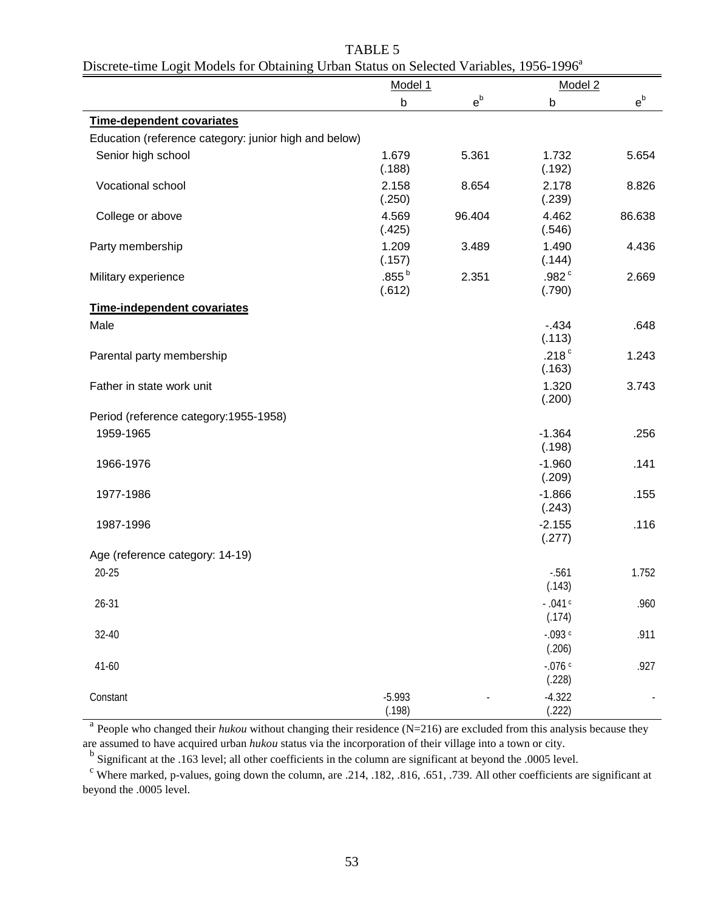| Discrete-time Logit Models for Obtaining Urban Status on Selected Variables, 1956-1996" |                      |         |                           |         |
|-----------------------------------------------------------------------------------------|----------------------|---------|---------------------------|---------|
|                                                                                         | Model 1              |         | Model 2                   |         |
|                                                                                         | b                    | $e^{b}$ | b                         | $e^{b}$ |
| <b>Time-dependent covariates</b>                                                        |                      |         |                           |         |
| Education (reference category: junior high and below)                                   |                      |         |                           |         |
| Senior high school                                                                      | 1.679<br>(.188)      | 5.361   | 1.732<br>(.192)           | 5.654   |
| Vocational school                                                                       | 2.158<br>(.250)      | 8.654   | 2.178<br>(.239)           | 8.826   |
| College or above                                                                        | 4.569<br>(.425)      | 96.404  | 4.462<br>(.546)           | 86.638  |
| Party membership                                                                        | 1.209<br>(.157)      | 3.489   | 1.490<br>(.144)           | 4.436   |
| Military experience                                                                     | $.855^{b}$<br>(.612) | 2.351   | .982 $^{\circ}$<br>(.790) | 2.669   |
| <b>Time-independent covariates</b>                                                      |                      |         |                           |         |
| Male                                                                                    |                      |         | $-.434$                   | .648    |
|                                                                                         |                      |         | (.113)                    |         |
| Parental party membership                                                               |                      |         | .218 $^{\circ}$<br>(.163) | 1.243   |
| Father in state work unit                                                               |                      |         | 1.320<br>(.200)           | 3.743   |
| Period (reference category: 1955-1958)                                                  |                      |         |                           |         |
| 1959-1965                                                                               |                      |         | $-1.364$                  | .256    |
|                                                                                         |                      |         | (.198)                    |         |
| 1966-1976                                                                               |                      |         | $-1.960$<br>(.209)        | .141    |
| 1977-1986                                                                               |                      |         | $-1.866$<br>(.243)        | .155    |
| 1987-1996                                                                               |                      |         | $-2.155$<br>(.277)        | .116    |
| Age (reference category: 14-19)                                                         |                      |         |                           |         |
| $20 - 25$                                                                               |                      |         | $-0.561$<br>(.143)        | 1.752   |
| $26 - 31$                                                                               |                      |         | $-041c$<br>(.174)         | .960    |
| 32-40                                                                                   |                      |         | $-0.093$ c<br>(.206)      | .911    |
| 41-60                                                                                   |                      |         | $-0.076$ c<br>(.228)      | .927    |
| Constant                                                                                | $-5.993$<br>(.198)   |         | $-4.322$<br>(.222)        |         |

# TABLE 5 Discrete-time Logit Models for Obtaining Urban Status on Selected Variables, 1956-1996<sup>a</sup>

<sup>a</sup> People who changed their *hukou* without changing their residence (N=216) are excluded from this analysis because they are assumed to have acquired urban *hukou* status via the incorporation of their village into a town or city.

<sup>b</sup> Significant at the .163 level; all other coefficients in the column are significant at beyond the .0005 level.

<sup>c</sup> Where marked, p-values, going down the column, are .214, .182, .816, .651, .739. All other coefficients are significant at beyond the .0005 level.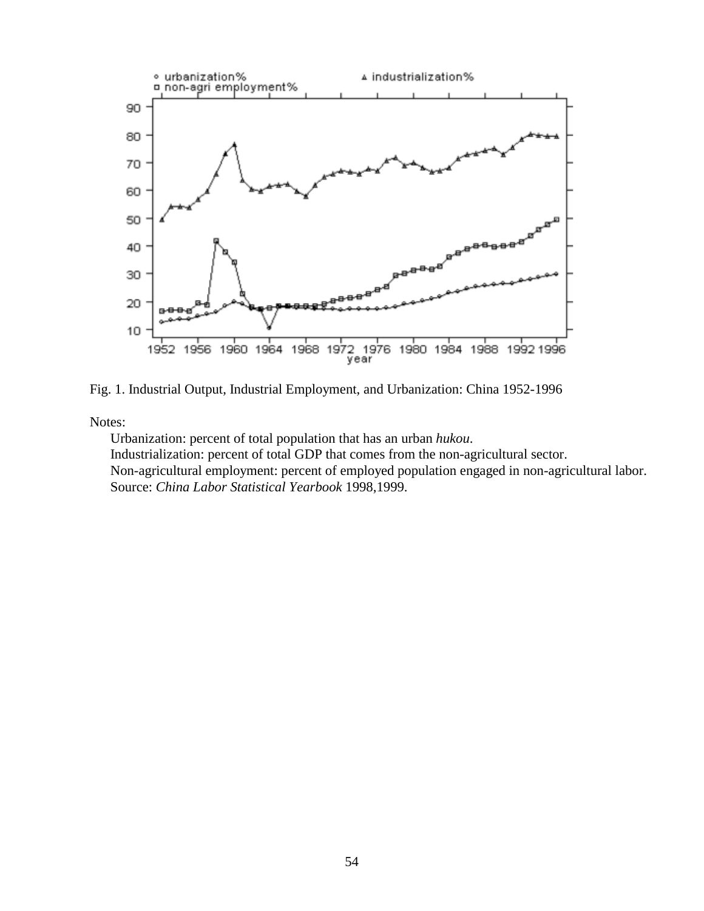

Fig. 1. Industrial Output, Industrial Employment, and Urbanization: China 1952-1996

Notes:

Urbanization: percent of total population that has an urban *hukou*. Industrialization: percent of total GDP that comes from the non-agricultural sector. Non-agricultural employment: percent of employed population engaged in non-agricultural labor. Source: *China Labor Statistical Yearbook* 1998,1999.